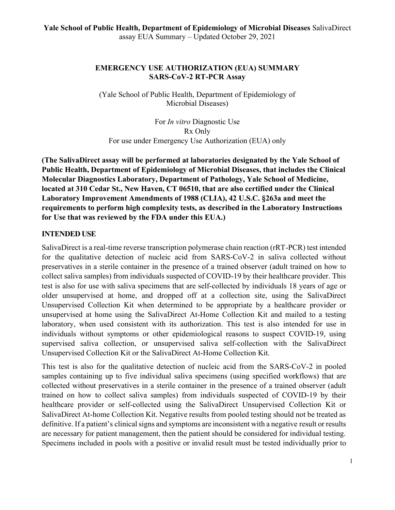#### **EMERGENCY USE AUTHORIZATION (EUA) SUMMARY SARS-CoV-2 RT-PCR Assay**

(Yale School of Public Health, Department of Epidemiology of Microbial Diseases)

For *In vitro* Diagnostic Use Rx Only For use under Emergency Use Authorization (EUA) only

**(The SalivaDirect assay will be performed at laboratories designated by the Yale School of Public Health, Department of Epidemiology of Microbial Diseases, that includes the Clinical Molecular Diagnostics Laboratory, Department of Pathology, Yale School of Medicine, located at 310 Cedar St., New Haven, CT 06510, that are also certified under the Clinical Laboratory Improvement Amendments of 1988 (CLIA), 42 U.S.C. §263a and meet the requirements to perform high complexity tests, as described in the Laboratory Instructions for Use that was reviewed by the FDA under this EUA.)**

#### **INTENDED USE**

SalivaDirect is a real-time reverse transcription polymerase chain reaction (rRT-PCR) test intended for the qualitative detection of nucleic acid from SARS-CoV-2 in saliva collected without preservatives in a sterile container in the presence of a trained observer (adult trained on how to collect saliva samples) from individuals suspected of COVID-19 by their healthcare provider. This test is also for use with saliva specimens that are self-collected by individuals 18 years of age or older unsupervised at home, and dropped off at a collection site, using the SalivaDirect Unsupervised Collection Kit when determined to be appropriate by a healthcare provider or unsupervised at home using the SalivaDirect At-Home Collection Kit and mailed to a testing laboratory, when used consistent with its authorization. This test is also intended for use in individuals without symptoms or other epidemiological reasons to suspect COVID-19, using supervised saliva collection, or unsupervised saliva self-collection with the SalivaDirect Unsupervised Collection Kit or the SalivaDirect At-Home Collection Kit.

This test is also for the qualitative detection of nucleic acid from the SARS-CoV-2 in pooled samples containing up to five individual saliva specimens (using specified workflows) that are collected without preservatives in a sterile container in the presence of a trained observer (adult trained on how to collect saliva samples) from individuals suspected of COVID-19 by their healthcare provider or self-collected using the SalivaDirect Unsupervised Collection Kit or SalivaDirect At-home Collection Kit. Negative results from pooled testing should not be treated as definitive. If a patient's clinical signs and symptoms are inconsistent with a negative result or results are necessary for patient management, then the patient should be considered for individual testing. Specimens included in pools with a positive or invalid result must be tested individually prior to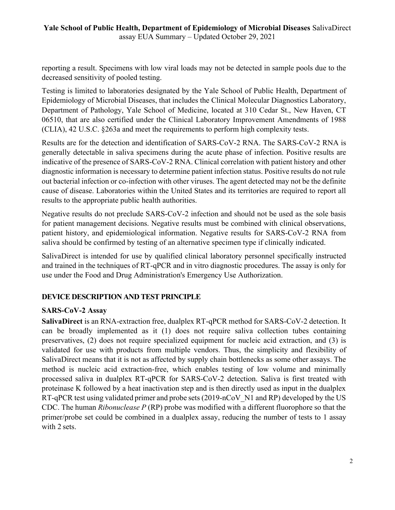reporting a result. Specimens with low viral loads may not be detected in sample pools due to the decreased sensitivity of pooled testing.

Testing is limited to laboratories designated by the Yale School of Public Health, Department of Epidemiology of Microbial Diseases, that includes the Clinical Molecular Diagnostics Laboratory, Department of Pathology, Yale School of Medicine, located at 310 Cedar St., New Haven, CT 06510, that are also certified under the Clinical Laboratory Improvement Amendments of 1988 (CLIA), 42 U.S.C. §263a and meet the requirements to perform high complexity tests.

Results are for the detection and identification of SARS-CoV-2 RNA. The SARS-CoV-2 RNA is generally detectable in saliva specimens during the acute phase of infection. Positive results are indicative of the presence of SARS-CoV-2 RNA. Clinical correlation with patient history and other diagnostic information is necessary to determine patient infection status. Positive results do not rule out bacterial infection or co-infection with other viruses. The agent detected may not be the definite cause of disease. Laboratories within the United States and its territories are required to report all results to the appropriate public health authorities.

Negative results do not preclude SARS-CoV-2 infection and should not be used as the sole basis for patient management decisions. Negative results must be combined with clinical observations, patient history, and epidemiological information. Negative results for SARS-CoV-2 RNA from saliva should be confirmed by testing of an alternative specimen type if clinically indicated.

SalivaDirect is intended for use by qualified clinical laboratory personnel specifically instructed and trained in the techniques of RT-qPCR and in vitro diagnostic procedures. The assay is only for use under the Food and Drug Administration's Emergency Use Authorization.

# **DEVICE DESCRIPTION AND TEST PRINCIPLE**

# **SARS-CoV-2 Assay**

**SalivaDirect** is an RNA-extraction free, dualplex RT-qPCR method for SARS-CoV-2 detection. It can be broadly implemented as it (1) does not require saliva collection tubes containing preservatives, (2) does not require specialized equipment for nucleic acid extraction, and (3) is validated for use with products from multiple vendors. Thus, the simplicity and flexibility of SalivaDirect means that it is not as affected by supply chain bottlenecks as some other assays. The method is nucleic acid extraction-free, which enables testing of low volume and minimally processed saliva in dualplex RT-qPCR for SARS-CoV-2 detection. Saliva is first treated with proteinase K followed by a heat inactivation step and is then directly used as input in the dualplex RT-qPCR test using validated primer and probe sets (2019-nCoV N1 and RP) developed by the US CDC. The human *Ribonuclease P* (RP) probe was modified with a different fluorophore so that the primer/probe set could be combined in a dualplex assay, reducing the number of tests to 1 assay with 2 sets.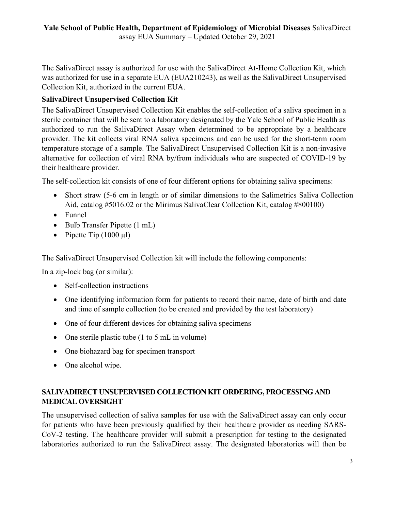The SalivaDirect assay is authorized for use with the SalivaDirect At-Home Collection Kit, which was authorized for use in a separate EUA (EUA210243), as well as the SalivaDirect Unsupervised Collection Kit, authorized in the current EUA.

# **SalivaDirect Unsupervised Collection Kit**

The SalivaDirect Unsupervised Collection Kit enables the self-collection of a saliva specimen in a sterile container that will be sent to a laboratory designated by the Yale School of Public Health as authorized to run the SalivaDirect Assay when determined to be appropriate by a healthcare provider. The kit collects viral RNA saliva specimens and can be used for the short-term room temperature storage of a sample. The SalivaDirect Unsupervised Collection Kit is a non-invasive alternative for collection of viral RNA by/from individuals who are suspected of COVID-19 by their healthcare provider.

The self-collection kit consists of one of four different options for obtaining saliva specimens:

- Short straw (5-6 cm in length or of similar dimensions to the Salimetrics Saliva Collection Aid, catalog #5016.02 or the Mirimus SalivaClear Collection Kit, catalog #800100)
- Funnel
- Bulb Transfer Pipette (1 mL)
- Pipette Tip  $(1000 \mu l)$

The SalivaDirect Unsupervised Collection kit will include the following components:

In a zip-lock bag (or similar):

- Self-collection instructions
- One identifying information form for patients to record their name, date of birth and date and time of sample collection (to be created and provided by the test laboratory)
- One of four different devices for obtaining saliva specimens
- One sterile plastic tube (1 to 5 mL in volume)
- · One biohazard bag for specimen transport
- One alcohol wipe.

# **SALIVADIRECT UNSUPERVISED COLLECTION KIT ORDERING, PROCESSING AND MEDICAL OVERSIGHT**

The unsupervised collection of saliva samples for use with the SalivaDirect assay can only occur for patients who have been previously qualified by their healthcare provider as needing SARS-CoV-2 testing. The healthcare provider will submit a prescription for testing to the designated laboratories authorized to run the SalivaDirect assay. The designated laboratories will then be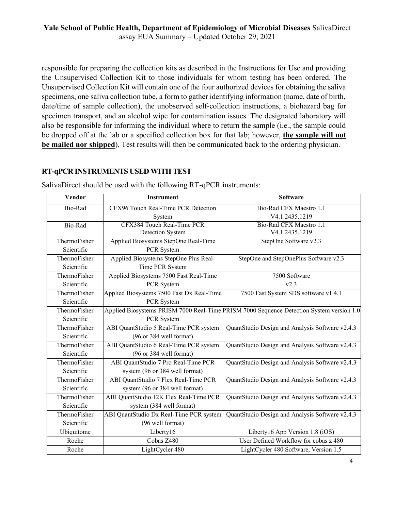responsible for preparing the collection kits as described in the Instructions for Use and providing the Unsupervised Collection Kit to those individuals for whom testing has been ordered. The Unsupervised Collection Kit will contain one of the four authorized devices for obtaining the saliva specimens, one saliva collection tube, a form to gather identifying information (name, date of birth, date/time of sample collection), the unobserved self-collection instructions, a biohazard bag for specimen transport, and an alcohol wipe for contamination issues. The designated laboratory will also be responsible for informing the individual where to return the sample (i.e., the sample could be dropped off at the lab or a specified collection box for that lab; however, **the sample will not be mailed nor shipped**). Test results will then be communicated back to the ordering physician.

#### **RT-qPCR INSTRUMENTS USED WITH TEST**

| Vendor       | <b>Instrument</b>                         | <b>Software</b>                                                                          |
|--------------|-------------------------------------------|------------------------------------------------------------------------------------------|
| Bio-Rad      | CFX96 Touch Real-Time PCR Detection       | Bio-Rad CFX Maestro 1.1                                                                  |
|              | System                                    | V4.1.2435.1219                                                                           |
| Bio-Rad      | CFX384 Touch Real-Time PCR                | Bio-Rad CFX Maestro 1.1                                                                  |
|              | Detection System                          | V4.1.2435.1219                                                                           |
| ThermoFisher | Applied Biosystems StepOne Real-Time      | StepOne Software v2.3                                                                    |
| Scientific   | PCR System                                |                                                                                          |
| ThermoFisher | Applied Biosystems StepOne Plus Real-     | StepOne and StepOnePlus Software v2.3                                                    |
| Scientific   | Time PCR System                           |                                                                                          |
| ThermoFisher | Applied Biosystems 7500 Fast Real-Time    | 7500 Software                                                                            |
| Scientific   | PCR System                                | v2.3                                                                                     |
| ThermoFisher | Applied Biosystems 7500 Fast Dx Real-Time | 7500 Fast System SDS software v1.4.1                                                     |
| Scientific   | PCR System                                |                                                                                          |
| ThermoFisher |                                           | Applied Biosystems PRISM 7000 Real-Time PRISM 7000 Sequence Detection System version 1.0 |
| Scientific   | PCR System                                |                                                                                          |
| ThermoFisher | ABI QuantStudio 5 Real-Time PCR system    | QuantStudio Design and Analysis Software v2.4.3                                          |
| Scientific   | (96 or 384 well format)                   |                                                                                          |
| ThermoFisher | ABI QuantStudio 6 Real-Time PCR system    | QuantStudio Design and Analysis Software v2.4.3                                          |
| Scientific   | (96 or 384 well format)                   |                                                                                          |
| ThermoFisher | ABI QuantStudio 7 Pro Real-Time PCR       | QuantStudio Design and Analysis Software v2.4.3                                          |
| Scientific   | system (96 or 384 well format)            |                                                                                          |
| ThermoFisher | ABI QuantStudio 7 Flex Real-Time PCR      | QuantStudio Design and Analysis Software v2.4.3                                          |
| Scientific   | system (96 or 384 well format)            |                                                                                          |
| ThermoFisher | ABI QuantStudio 12K Flex Real-Time PCR    | QuantStudio Design and Analysis Software v2.4.3                                          |
| Scientific   | system (384 well format)                  |                                                                                          |
| ThermoFisher | ABI QuantStudio Dx Real-Time PCR system   | QuantStudio Design and Analysis Software v2.4.3                                          |
| Scientific   | (96 well format)                          |                                                                                          |
| Ubiquitome   | Liberty16                                 | Liberty16 App Version 1.8 (iOS)                                                          |
| Roche        | Cobas Z480                                | User Defined Workflow for cobas z 480                                                    |
| Roche        | LightCycler 480                           | LightCycler 480 Software, Version 1.5                                                    |

SalivaDirect should be used with the following RT-qPCR instruments: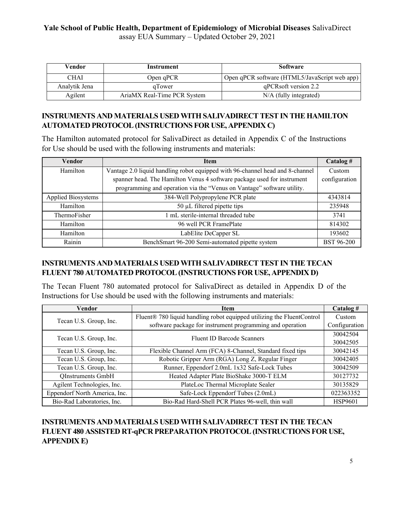| Vendor        | Instrument                  | <b>Software</b>                               |
|---------------|-----------------------------|-----------------------------------------------|
| CHAI          | Open qPCR                   | Open qPCR software (HTML5/JavaScript web app) |
| Analytik Jena | <i>a</i> Tower              | qPCRsoft version 2.2                          |
| Agilent       | AriaMX Real-Time PCR System | N/A (fully integrated)                        |

# **INSTRUMENTS AND MATERIALS USED WITH SALIVADIRECT TEST IN THE HAMILTON AUTOMATED PROTOCOL (INSTRUCTIONS FOR USE, APPENDIX C)**

The Hamilton automated protocol for SalivaDirect as detailed in Appendix C of the Instructions for Use should be used with the following instruments and materials:

| Vendor                    | Item                                                                                     | Catalog#          |
|---------------------------|------------------------------------------------------------------------------------------|-------------------|
| Hamilton                  | Vantage 2.0 liquid handling robot equipped with 96-channel head and 8-channel            |                   |
|                           | spanner head. The Hamilton Venus 4 software package used for instrument<br>configuration |                   |
|                           | programming and operation via the "Venus on Vantage" software utility.                   |                   |
| <b>Applied Biosystems</b> | 384-Well Polypropylene PCR plate                                                         | 4343814           |
| Hamilton                  | $50 \mu L$ filtered pipette tips                                                         | 235948            |
| ThermoFisher              | 1 mL sterile-internal threaded tube                                                      | 3741              |
| Hamilton                  | 96 well PCR FramePlate                                                                   | 814302            |
| Hamilton                  | LabElite DeCapper SL                                                                     | 193602            |
| Rainin                    | BenchSmart 96-200 Semi-automated pipette system                                          | <b>BST 96-200</b> |

# **INSTRUMENTS AND MATERIALS USED WITH SALIVADIRECT TEST IN THE TECAN FLUENT 780 AUTOMATED PROTOCOL (INSTRUCTIONS FOR USE, APPENDIX D)**

The Tecan Fluent 780 automated protocol for SalivaDirect as detailed in Appendix D of the Instructions for Use should be used with the following instruments and materials:

| Vendor                        | <b>Item</b>                                                            | Catalog #      |
|-------------------------------|------------------------------------------------------------------------|----------------|
|                               | Fluent® 780 liquid handling robot equipped utilizing the FluentControl | Custom         |
| Tecan U.S. Group, Inc.        | software package for instrument programming and operation              | Configuration  |
|                               | Fluent ID Barcode Scanners                                             | 30042504       |
| Tecan U.S. Group, Inc.        |                                                                        | 30042505       |
| Tecan U.S. Group, Inc.        | Flexible Channel Arm (FCA) 8-Channel, Standard fixed tips              | 30042145       |
| Tecan U.S. Group, Inc.        | Robotic Gripper Arm (RGA) Long Z, Regular Finger                       | 30042405       |
| Tecan U.S. Group, Inc.        | Runner, Eppendorf 2.0mL 1x32 Safe-Lock Tubes                           | 30042509       |
| <b>QInstruments GmbH</b>      | Heated Adapter Plate BioShake 3000-T ELM                               | 30127732       |
| Agilent Technologies, Inc.    | PlateLoc Thermal Microplate Sealer                                     | 30135829       |
| Eppendorf North America, Inc. | Safe-Lock Eppendorf Tubes (2.0mL)                                      | 022363352      |
| Bio-Rad Laboratories, Inc.    | Bio-Rad Hard-Shell PCR Plates 96-well, thin wall                       | <b>HSP9601</b> |

# **INSTRUMENTS AND MATERIALS USED WITH SALIVADIRECT TEST IN THE TECAN FLUENT 480 ASSISTED RT-qPCR PREPARATION PROTOCOL(INSTRUCTIONS FOR USE, APPENDIX E)**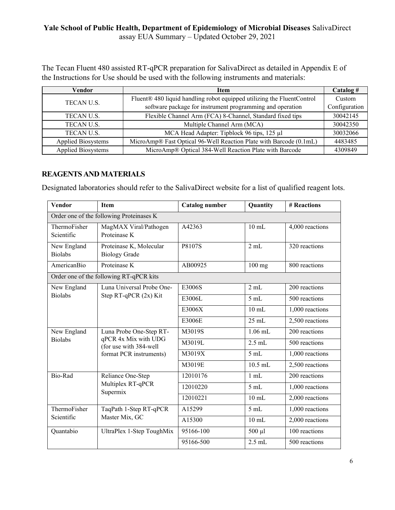The Tecan Fluent 480 assisted RT-qPCR preparation for SalivaDirect as detailed in Appendix E of the Instructions for Use should be used with the following instruments and materials:

| Vendor                    | <b>Item</b>                                                            | Catalog #     |
|---------------------------|------------------------------------------------------------------------|---------------|
| TECAN U.S.                | Fluent® 480 liquid handling robot equipped utilizing the FluentControl | Custom        |
|                           | software package for instrument programming and operation              | Configuration |
| <b>TECANU.S.</b>          | Flexible Channel Arm (FCA) 8-Channel, Standard fixed tips              | 30042145      |
| <b>TECANU.S.</b>          | Multiple Channel Arm (MCA)                                             | 30042350      |
| TECAN U.S.                | MCA Head Adapter: Tipblock 96 tips, 125 µl                             | 30032066      |
| <b>Applied Biosystems</b> | MicroAmp® Fast Optical 96-Well Reaction Plate with Barcode (0.1mL)     | 4483485       |
| <b>Applied Biosystems</b> | MicroAmp® Optical 384-Well Reaction Plate with Barcode                 | 4309849       |

#### **REAGENTS AND MATERIALS**

Designated laboratories should refer to the SalivaDirect website for a list of qualified reagent lots.

| Vendor                        | Item                                            | <b>Catalog number</b> | Quantity  | # Reactions       |
|-------------------------------|-------------------------------------------------|-----------------------|-----------|-------------------|
|                               | Order one of the following Proteinases K        |                       |           |                   |
| ThermoFisher<br>Scientific    | MagMAX Viral/Pathogen<br>Proteinase K           | A42363                | $10$ mL   | 4,000 reactions   |
| New England<br><b>Biolabs</b> | Proteinase K, Molecular<br><b>Biology Grade</b> | P8107S                | 2 mL      | 320 reactions     |
| AmericanBio                   | Proteinase K                                    | AB00925               | $100$ mg  | 800 reactions     |
|                               | Order one of the following RT-qPCR kits         |                       |           |                   |
| New England                   | Luna Universal Probe One-                       | E3006S                | 2 mL      | 200 reactions     |
| <b>Biolabs</b>                | Step RT-qPCR (2x) Kit                           | E3006L                | 5mL       | 500 reactions     |
|                               |                                                 | E3006X                | $10$ mL   | 1,000 reactions   |
|                               |                                                 | E3006E                | $25$ mL   | 2,500 reactions   |
| New England                   | Luna Probe One-Step RT-                         | M3019S                | $1.06$ mL | 200 reactions     |
| <b>Biolabs</b>                | qPCR 4x Mix with UDG<br>(for use with 384-well  | M3019L                | $2.5$ mL  | 500 reactions     |
|                               | format PCR instruments)                         | M3019X                | 5mL       | 1,000 reactions   |
|                               |                                                 | M3019E                | $10.5$ mL | 2,500 reactions   |
| Bio-Rad                       | Reliance One-Step                               | 12010176              | 1 mL      | 200 reactions     |
|                               | Multiplex RT-qPCR<br>Supermix                   | 12010220              | 5mL       | 1,000 reactions   |
|                               |                                                 | 12010221              | $10$ mL   | 2,000 reactions   |
| ThermoFisher                  | TaqPath 1-Step RT-qPCR                          | A15299                | 5 mL      | 1,000 reactions   |
| Scientific                    | Master Mix, GC                                  | A15300                | $10$ mL   | $2,000$ reactions |
| Quantabio                     | UltraPlex 1-Step ToughMix                       | 95166-100             | 500 µl    | 100 reactions     |
|                               |                                                 | 95166-500             | $2.5$ mL  | 500 reactions     |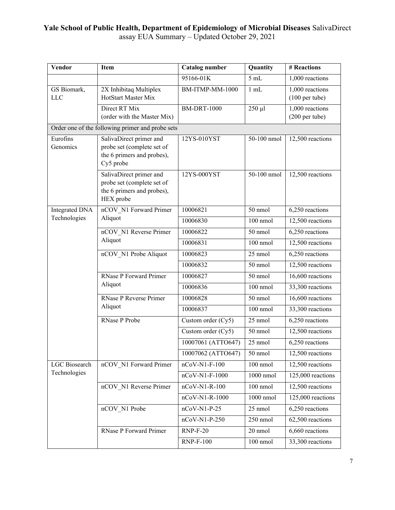| Vendor                    | Item                                                                                             | <b>Catalog number</b> | Quantity    | # Reactions                                 |
|---------------------------|--------------------------------------------------------------------------------------------------|-----------------------|-------------|---------------------------------------------|
|                           |                                                                                                  | 95166-01K             | 5mL         | 1,000 reactions                             |
| GS Biomark,<br><b>LLC</b> | 2X Inhibitaq Multiplex<br>HotStart Master Mix                                                    | BM-ITMP-MM-1000       | $1$ mL      | 1,000 reactions<br>$(100 \text{ per tube})$ |
|                           | Direct RT Mix<br>(order with the Master Mix)                                                     | <b>BM-DRT-1000</b>    | $250$ µl    | 1,000 reactions<br>(200 per tube)           |
|                           | Order one of the following primer and probe sets                                                 |                       |             |                                             |
| Eurofins<br>Genomics      | SalivaDirect primer and<br>probe set (complete set of<br>the 6 primers and probes),<br>Cy5 probe | 12YS-010YST           | 50-100 nmol | 12,500 reactions                            |
|                           | SalivaDirect primer and<br>probe set (complete set of<br>the 6 primers and probes),<br>HEX probe | 12YS-000YST           | 50-100 nmol | 12,500 reactions                            |
| <b>Integrated DNA</b>     | nCOV N1 Forward Primer                                                                           | 10006821              | 50 nmol     | 6,250 reactions                             |
| Technologies              | Aliquot                                                                                          | 10006830              | 100 nmol    | 12,500 reactions                            |
|                           | nCOV N1 Reverse Primer                                                                           | 10006822              | 50 nmol     | 6,250 reactions                             |
|                           | Aliquot                                                                                          | 10006831              | 100 nmol    | 12,500 reactions                            |
|                           | nCOV N1 Probe Aliquot                                                                            | 10006823              | 25 nmol     | 6,250 reactions                             |
|                           |                                                                                                  | 10006832              | 50 nmol     | 12,500 reactions                            |
|                           | <b>RNase P Forward Primer</b>                                                                    | 10006827              | 50 nmol     | 16,600 reactions                            |
|                           | Aliquot                                                                                          | 10006836              | 100 nmol    | 33,300 reactions                            |
|                           | RNase P Reverse Primer                                                                           | 10006828              | 50 nmol     | 16,600 reactions                            |
|                           | Aliquot                                                                                          | 10006837              | 100 nmol    | 33,300 reactions                            |
|                           | RNase P Probe                                                                                    | Custom order (Cy5)    | 25 nmol     | 6,250 reactions                             |
|                           |                                                                                                  | Custom order (Cy5)    | 50 nmol     | 12,500 reactions                            |
|                           |                                                                                                  | 10007061 (ATTO647)    | 25 nmol     | 6,250 reactions                             |
|                           |                                                                                                  | 10007062 (ATTO647)    | 50 nmol     | 12,500 reactions                            |
| <b>LGC</b> Biosearch      | nCOV_N1 Forward Primer                                                                           | $nCoV-N1-F-100$       | 100 nmol    | 12,500 reactions                            |
| Technologies              |                                                                                                  | nCoV-N1-F-1000        | $1000$ nmol | 125,000 reactions                           |
|                           | nCOV N1 Reverse Primer                                                                           | $nCoV-N1-R-100$       | 100 nmol    | 12,500 reactions                            |
|                           |                                                                                                  | nCoV-N1-R-1000        | $1000$ nmol | 125,000 reactions                           |
|                           | nCOV N1 Probe                                                                                    | $nCoV-N1-P-25$        | 25 nmol     | 6,250 reactions                             |
|                           |                                                                                                  | nCoV-N1-P-250         | 250 nmol    | 62,500 reactions                            |
|                           | <b>RNase P Forward Primer</b>                                                                    | $RNP-F-20$            | 20 nmol     | 6,660 reactions                             |
|                           |                                                                                                  | <b>RNP-F-100</b>      | 100 nmol    | 33,300 reactions                            |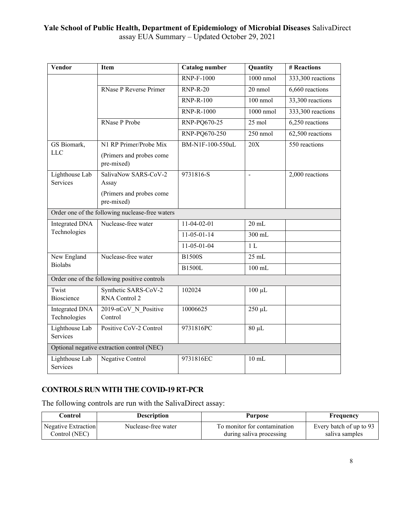| Vendor                                | Item                                                                    | Catalog number    | Quantity         | # Reactions       |  |
|---------------------------------------|-------------------------------------------------------------------------|-------------------|------------------|-------------------|--|
|                                       |                                                                         | <b>RNP-F-1000</b> | 1000 nmol        | 333,300 reactions |  |
|                                       | <b>RNase P Reverse Primer</b>                                           | $RNP-R-20$        | 20 nmol          | 6,660 reactions   |  |
|                                       |                                                                         | <b>RNP-R-100</b>  | 100 nmol         | 33,300 reactions  |  |
|                                       |                                                                         | <b>RNP-R-1000</b> | 1000 nmol        | 333,300 reactions |  |
|                                       | <b>RNase P Probe</b>                                                    | RNP-PQ670-25      | $25 \text{ mol}$ | 6,250 reactions   |  |
|                                       |                                                                         | RNP-PQ670-250     | $250$ nmol       | 62,500 reactions  |  |
| GS Biomark,<br><b>LLC</b>             | N1 RP Primer/Probe Mix<br>(Primers and probes come<br>pre-mixed)        | BM-N1F-100-550uL  | 20X              | 550 reactions     |  |
| Lighthouse Lab<br>Services            | SalivaNow SARS-CoV-2<br>Assay<br>(Primers and probes come<br>pre-mixed) | 9731816-S         | $\overline{a}$   | 2,000 reactions   |  |
|                                       | Order one of the following nuclease-free waters                         |                   |                  |                   |  |
| <b>Integrated DNA</b>                 | Nuclease-free water                                                     | 11-04-02-01       | $20$ mL          |                   |  |
| Technologies                          |                                                                         | $11-05-01-14$     | 300 mL           |                   |  |
|                                       |                                                                         | 11-05-01-04       | 1 <sub>L</sub>   |                   |  |
| New England                           | Nuclease-free water                                                     | <b>B1500S</b>     | $25$ mL          |                   |  |
| <b>Biolabs</b>                        |                                                                         | <b>B1500L</b>     | $100$ mL         |                   |  |
|                                       | Order one of the following positive controls                            |                   |                  |                   |  |
| Twist<br>Bioscience                   | Synthetic SARS-CoV-2<br>RNA Control 2                                   | 102024            | $100 \mu L$      |                   |  |
| <b>Integrated DNA</b><br>Technologies | 2019-nCoV N Positive<br>Control                                         | 10006625          | 250 µL           |                   |  |
| Lighthouse Lab<br>Services            | Positive CoV-2 Control                                                  | 9731816PC         | $80 \mu L$       |                   |  |
|                                       | Optional negative extraction control (NEC)                              |                   |                  |                   |  |
| Lighthouse Lab<br>Services            | Negative Control                                                        | 9731816EC         | $10$ mL          |                   |  |

# **CONTROLS RUN WITH THE COVID-19 RT-PCR**

The following controls are run with the SalivaDirect assay:

| Control             | <b>Description</b>  | Purpose                      | Frequency               |
|---------------------|---------------------|------------------------------|-------------------------|
| Negative Extraction | Nuclease-free water | To monitor for contamination | Every batch of up to 93 |
| Control (NEC)       |                     | during saliva processing     | saliva samples          |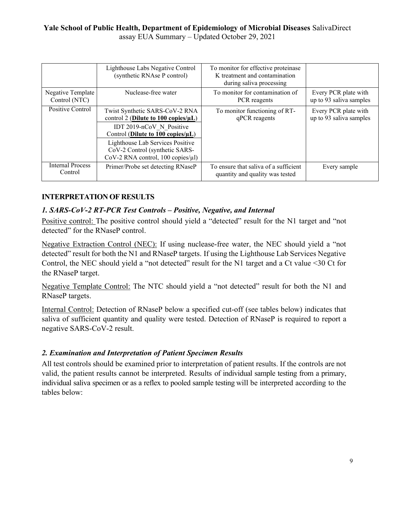|                                    | Lighthouse Labs Negative Control<br>(synthetic RNAse P control)                                                                                        | To monitor for effective proteinase<br>K treatment and contamination<br>during saliva processing |                                                 |
|------------------------------------|--------------------------------------------------------------------------------------------------------------------------------------------------------|--------------------------------------------------------------------------------------------------|-------------------------------------------------|
| Negative Template<br>Control (NTC) | Nuclease-free water                                                                                                                                    | To monitor for contamination of<br>PCR reagents                                                  | Every PCR plate with<br>up to 93 saliva samples |
| Positive Control                   | Twist Synthetic SARS-CoV-2 RNA<br>control 2 (Dilute to 100 copies/ $\mu L$ )<br>IDT 2019-nCoV N Positive<br>Control (Dilute to $100$ copies/ $\mu L$ ) | To monitor functioning of RT-<br>qPCR reagents                                                   | Every PCR plate with<br>up to 93 saliva samples |
|                                    | Lighthouse Lab Services Positive<br>CoV-2 Control (synthetic SARS-<br>CoV-2 RNA control, $100$ copies/ $\mu$ l)                                        |                                                                                                  |                                                 |
| <b>Internal Process</b><br>Control | Primer/Probe set detecting RNaseP                                                                                                                      | To ensure that saliva of a sufficient<br>quantity and quality was tested                         | Every sample                                    |

# **INTERPRETATION OF RESULTS**

# *1. SARS-CoV-2 RT-PCR Test Controls – Positive, Negative, and Internal*

Positive control: The positive control should yield a "detected" result for the N1 target and "not detected" for the RNaseP control.

Negative Extraction Control (NEC): If using nuclease-free water, the NEC should yield a "not detected" result for both the N1 and RNaseP targets. If using the Lighthouse Lab Services Negative Control, the NEC should yield a "not detected" result for the N1 target and a Ct value <30 Ct for the RNaseP target.

Negative Template Control: The NTC should yield a "not detected" result for both the N1 and RNaseP targets.

Internal Control: Detection of RNaseP below a specified cut-off (see tables below) indicates that saliva of sufficient quantity and quality were tested. Detection of RNaseP is required to report a negative SARS-CoV-2 result.

# *2. Examination and Interpretation of Patient Specimen Results*

All test controls should be examined prior to interpretation of patient results. If the controls are not valid, the patient results cannot be interpreted. Results of individual sample testing from a primary, individual saliva specimen or as a reflex to pooled sample testing will be interpreted according to the tables below: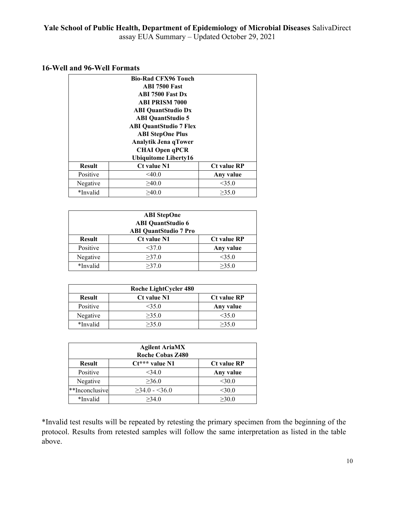#### **16-Well and 96-Well Formats**

|               | <b>Bio-Rad CFX96 Touch</b>    |                    |  |  |
|---------------|-------------------------------|--------------------|--|--|
|               | <b>ABI 7500 Fast</b>          |                    |  |  |
|               | <b>ABI 7500 Fast Dx</b>       |                    |  |  |
|               | <b>ABI PRISM 7000</b>         |                    |  |  |
|               | <b>ABI QuantStudio Dx</b>     |                    |  |  |
|               | <b>ABI QuantStudio 5</b>      |                    |  |  |
|               | <b>ABI QuantStudio 7 Flex</b> |                    |  |  |
|               | <b>ABI StepOne Plus</b>       |                    |  |  |
|               | Analytik Jena qTower          |                    |  |  |
|               | <b>CHAI Open qPCR</b>         |                    |  |  |
|               | Ubiquitome Liberty16          |                    |  |  |
| <b>Result</b> | Ct value N1                   | <b>Ct value RP</b> |  |  |
| Positive      | $<$ 40.0                      | Any value          |  |  |
| Negative      | >40.0                         | $<$ 35.0           |  |  |
| *Invalid      | >40.0                         | >35.0              |  |  |

| <b>ABI</b> StepOne<br><b>ABI</b> QuantStudio 6<br><b>ABI QuantStudio 7 Pro</b> |                    |                    |  |
|--------------------------------------------------------------------------------|--------------------|--------------------|--|
| <b>Result</b>                                                                  | <b>Ct value N1</b> | <b>Ct value RP</b> |  |
| Positive                                                                       | $<$ 37.0           | Any value          |  |
| Negative                                                                       | >37.0              | <35.0              |  |
| *Invalid                                                                       | >37.0              | >35.0              |  |

| Roche LightCycler 480 |                    |                    |  |  |  |  |  |  |
|-----------------------|--------------------|--------------------|--|--|--|--|--|--|
| <b>Result</b>         | <b>Ct value N1</b> | <b>Ct value RP</b> |  |  |  |  |  |  |
| Positive              | <35.0              | Any value          |  |  |  |  |  |  |
| Negative              | >35.0              | <35.0              |  |  |  |  |  |  |
| *Invalid              | >35.0              | >35.0              |  |  |  |  |  |  |

| <b>Agilent AriaMX</b><br><b>Roche Cobas Z480</b> |                     |                    |  |  |  |  |  |  |
|--------------------------------------------------|---------------------|--------------------|--|--|--|--|--|--|
| <b>Result</b>                                    | $Ct***$ value N1    | <b>Ct value RP</b> |  |  |  |  |  |  |
| Positive                                         | <34.0               | Any value          |  |  |  |  |  |  |
| Negative                                         | >36.0               | $<$ 30.0           |  |  |  |  |  |  |
| **Inconclusive                                   | $\geq$ 34.0 - <36.0 | $<$ 30.0           |  |  |  |  |  |  |
| *Invalid                                         | >34.0               | >30.0              |  |  |  |  |  |  |

\*Invalid test results will be repeated by retesting the primary specimen from the beginning of the protocol. Results from retested samples will follow the same interpretation as listed in the table above.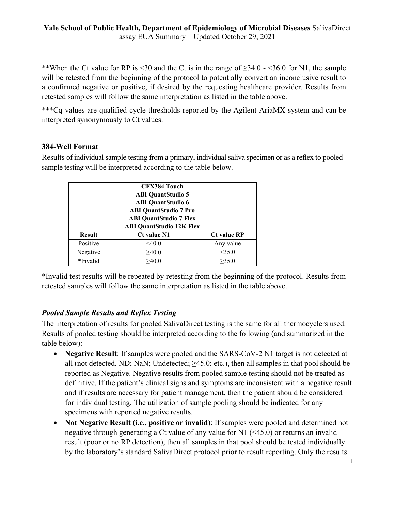\*\*When the Ct value for RP is <30 and the Ct is in the range of ≥34.0 - <36.0 for N1, the sample will be retested from the beginning of the protocol to potentially convert an inconclusive result to a confirmed negative or positive, if desired by the requesting healthcare provider. Results from retested samples will follow the same interpretation as listed in the table above.

\*\*\*Cq values are qualified cycle thresholds reported by the Agilent AriaMX system and can be interpreted synonymously to Ct values.

## **384-Well Format**

Results of individual sample testing from a primary, individual saliva specimen or as a reflex to pooled sample testing will be interpreted according to the table below.

| <b>CFX384 Touch</b><br><b>ABI QuantStudio 5</b><br><b>ABI QuantStudio 6</b><br><b>ABI QuantStudio 7 Pro</b><br><b>ABI QuantStudio 7 Flex</b> |                                                                             |           |  |  |  |  |  |  |  |
|----------------------------------------------------------------------------------------------------------------------------------------------|-----------------------------------------------------------------------------|-----------|--|--|--|--|--|--|--|
| <b>Result</b>                                                                                                                                | <b>ABI QuantStudio 12K Flex</b><br><b>Ct value RP</b><br><b>Ct value N1</b> |           |  |  |  |  |  |  |  |
| Positive                                                                                                                                     | $<$ 40.0                                                                    | Any value |  |  |  |  |  |  |  |
| Negative                                                                                                                                     | >40.0                                                                       | $<$ 35.0  |  |  |  |  |  |  |  |
| *Invalid                                                                                                                                     | >40.0                                                                       | >35.0     |  |  |  |  |  |  |  |

\*Invalid test results will be repeated by retesting from the beginning of the protocol. Results from retested samples will follow the same interpretation as listed in the table above.

# *Pooled Sample Results and Reflex Testing*

The interpretation of results for pooled SalivaDirect testing is the same for all thermocyclers used. Results of pooled testing should be interpreted according to the following (and summarized in the table below):

- · **Negative Result**: If samples were pooled and the SARS-CoV-2 N1 target is not detected at all (not detected, ND; NaN; Undetected; ≥45.0; etc.), then all samples in that pool should be reported as Negative. Negative results from pooled sample testing should not be treated as definitive. If the patient's clinical signs and symptoms are inconsistent with a negative result and if results are necessary for patient management, then the patient should be considered for individual testing. The utilization of sample pooling should be indicated for any specimens with reported negative results.
- · **Not Negative Result (i.e., positive or invalid)**: If samples were pooled and determined not negative through generating a Ct value of any value for N1 (<45.0) or returns an invalid result (poor or no RP detection), then all samples in that pool should be tested individually by the laboratory's standard SalivaDirect protocol prior to result reporting. Only the results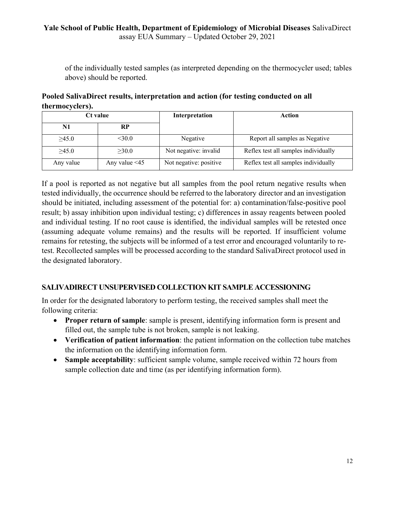of the individually tested samples (as interpreted depending on the thermocycler used; tables above) should be reported.

**Pooled SalivaDirect results, interpretation and action (for testing conducted on all thermocyclers).**

| Ct value    |                     | Interpretation         | Action                               |  |  |
|-------------|---------------------|------------------------|--------------------------------------|--|--|
| N1          | <b>RP</b>           |                        |                                      |  |  |
| $\geq 45.0$ | $<$ 30.0            | Negative               | Report all samples as Negative       |  |  |
| $\geq 45.0$ | $\geq 30.0$         | Not negative: invalid  | Reflex test all samples individually |  |  |
| Any value   | Any value $\leq 45$ | Not negative: positive | Reflex test all samples individually |  |  |

If a pool is reported as not negative but all samples from the pool return negative results when tested individually, the occurrence should be referred to the laboratory director and an investigation should be initiated, including assessment of the potential for: a) contamination/false-positive pool result; b) assay inhibition upon individual testing; c) differences in assay reagents between pooled and individual testing. If no root cause is identified, the individual samples will be retested once (assuming adequate volume remains) and the results will be reported. If insufficient volume remains for retesting, the subjects will be informed of a test error and encouraged voluntarily to retest. Recollected samples will be processed according to the standard SalivaDirect protocol used in the designated laboratory.

# **SALIVADIRECT UNSUPERVISED COLLECTION KIT SAMPLE ACCESSIONING**

In order for the designated laboratory to perform testing, the received samples shall meet the following criteria:

- · **Proper return of sample**: sample is present, identifying information form is present and filled out, the sample tube is not broken, sample is not leaking.
- · **Verification of patient information**: the patient information on the collection tube matches the information on the identifying information form.
- · **Sample acceptability**: sufficient sample volume, sample received within 72 hours from sample collection date and time (as per identifying information form).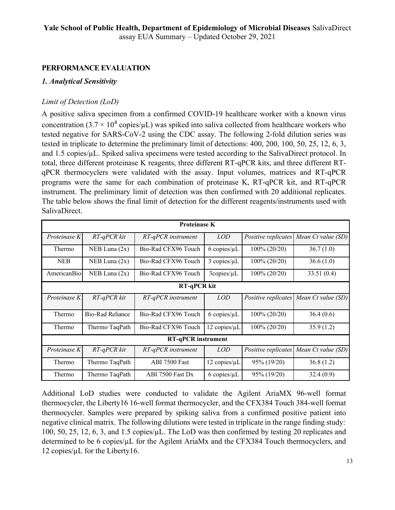## **PERFORMANCE EVALUATION**

## *1. Analytical Sensitivity*

## *Limit of Detection (LoD)*

A positive saliva specimen from a confirmed COVID-19 healthcare worker with a known virus concentration (3.7  $\times$  10<sup>4</sup> copies/ $\mu$ L) was spiked into saliva collected from healthcare workers who tested negative for SARS-CoV-2 using the CDC assay. The following 2-fold dilution series was tested in triplicate to determine the preliminary limit of detections: 400, 200, 100, 50, 25, 12, 6, 3, and 1.5 copies/µL. Spiked saliva specimens were tested according to the SalivaDirect protocol. In total, three different proteinase K reagents, three different RT-qPCR kits, and three different RTqPCR thermocyclers were validated with the assay. Input volumes, matrices and RT-qPCR programs were the same for each combination of proteinase K, RT-qPCR kit, and RT-qPCR instrument. The preliminary limit of detection was then confirmed with 20 additional replicates. The table below shows the final limit of detection for the different reagents/instruments used with SalivaDirect.

|                    | <b>Proteinase K</b> |                           |                     |                 |                                        |  |  |  |  |  |
|--------------------|---------------------|---------------------------|---------------------|-----------------|----------------------------------------|--|--|--|--|--|
| Proteinase K       | RT-qPCR kit         | RT-qPCR instrument        | <i>LOD</i>          |                 | Positive replicates Mean Ct value (SD) |  |  |  |  |  |
| Thermo             | NEB Luna $(2x)$     | Bio-Rad CFX96 Touch       | $6$ copies/ $\mu$ L | $100\% (20/20)$ | 36.7(1.0)                              |  |  |  |  |  |
| <b>NEB</b>         | NEB Luna $(2x)$     | Bio-Rad CFX96 Touch       | $3$ copies/ $\mu$ L | $100\% (20/20)$ | 36.6(1.0)                              |  |  |  |  |  |
| AmericanBio        | NEB Luna $(2x)$     | Bio-Rad CFX96 Touch       | 3copies/µL          | $100\% (20/20)$ | 33.51 $(0.4)$                          |  |  |  |  |  |
| <b>RT-qPCR kit</b> |                     |                           |                     |                 |                                        |  |  |  |  |  |
| Proteinase K       | RT-qPCR kit         | $RT$ -qPCR instrument     | <i>LOD</i>          |                 | Positive replicates Mean Ct value (SD) |  |  |  |  |  |
| Thermo             | Bio-Rad Reliance    | Bio-Rad CFX96 Touch       | $6$ copies/ $\mu$ L | $100\% (20/20)$ | 36.4(0.6)                              |  |  |  |  |  |
| Thermo             | Thermo TaqPath      | Bio-Rad CFX96 Touch       | 12 copies/µL        | $100\% (20/20)$ | 35.9(1.2)                              |  |  |  |  |  |
|                    |                     | <b>RT-qPCR</b> instrument |                     |                 |                                        |  |  |  |  |  |
| Proteinase K       | RT-qPCR kit         | RT-qPCR instrument        | <i>LOD</i>          |                 | Positive replicates Mean Ct value (SD) |  |  |  |  |  |
| Thermo             | Thermo TaqPath      | <b>ABI 7500 Fast</b>      | 12 copies/µL        | 95% (19/20)     | 36.8(1.2)                              |  |  |  |  |  |
| Thermo             | Thermo TaqPath      | ABI 7500 Fast Dx          | $6$ copies/ $\mu$ L | 95% (19/20)     | 32.4(0.9)                              |  |  |  |  |  |

Additional LoD studies were conducted to validate the Agilent AriaMX 96-well format thermocycler, the Liberty16 16-well format thermocycler, and the CFX384 Touch 384-well format thermocycler. Samples were prepared by spiking saliva from a confirmed positive patient into negative clinical matrix. The following dilutions were tested in triplicate in the range finding study: 100, 50, 25, 12, 6, 3, and 1.5 copies/ $\mu$ L. The LoD was then confirmed by testing 20 replicates and determined to be 6 copies/µL for the Agilent AriaMx and the CFX384 Touch thermocyclers, and 12 copies/µL for the Liberty16.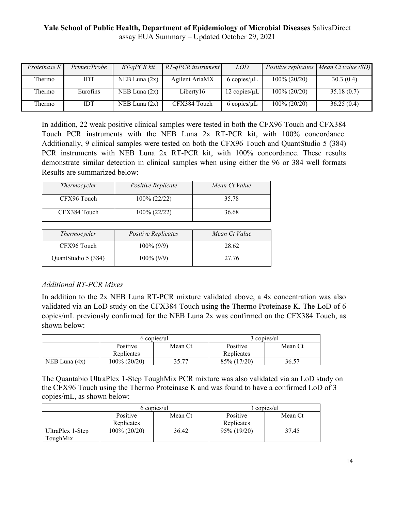| Proteinase K  | Primer/Probe | RT-qPCR kit     | $RT$ -qPCR instrument | <i>LOD</i>           |                 | Positive replicates   Mean Ct value (SD) |
|---------------|--------------|-----------------|-----------------------|----------------------|-----------------|------------------------------------------|
| Thermo        | IDT          | NEB Luna $(2x)$ | Agilent AriaMX        | $6$ copies/ $\mu$ L  | $100\% (20/20)$ | 30.3(0.4)                                |
| <b>Thermo</b> | Eurofins     | NEB Luna $(2x)$ | Liberty16             | $12$ copies/ $\mu$ L | $100\% (20/20)$ | 35.18(0.7)                               |
| Thermo        | IDT          | NEB Luna $(2x)$ | CFX384 Touch          | $6$ copies/ $\mu$ L  | $100\% (20/20)$ | 36.25(0.4)                               |

In addition, 22 weak positive clinical samples were tested in both the CFX96 Touch and CFX384 Touch PCR instruments with the NEB Luna 2x RT-PCR kit, with 100% concordance. Additionally, 9 clinical samples were tested on both the CFX96 Touch and QuantStudio 5 (384) PCR instruments with NEB Luna 2x RT-PCR kit, with 100% concordance. These results demonstrate similar detection in clinical samples when using either the 96 or 384 well formats Results are summarized below:

| Thermocycler        | Positive Replicate         | Mean Ct Value |
|---------------------|----------------------------|---------------|
| CFX96 Touch         | 100% (22/22)               | 35.78         |
| CFX384 Touch        | 100% (22/22)               | 36.68         |
|                     |                            |               |
| Thermocycler        | <b>Positive Replicates</b> | Mean Ct Value |
| CFX96 Touch         | $100\% (9/9)$              | 28.62         |
| QuantStudio 5 (384) | $100\% (9/9)$              | 27.76         |

# *Additional RT-PCR Mixes*

In addition to the 2x NEB Luna RT-PCR mixture validated above, a 4x concentration was also validated via an LoD study on the CFX384 Touch using the Thermo Proteinase K. The LoD of 6 copies/mL previously confirmed for the NEB Luna 2x was confirmed on the CFX384 Touch, as shown below:

|                 |                        | 6 copies/ul | 3 copies/ul            |         |  |
|-----------------|------------------------|-------------|------------------------|---------|--|
|                 | Positive<br>Replicates | Mean Ct     | Positive<br>Replicates | Mean Ct |  |
| NEB Luna $(4x)$ | 100% (20/20)           | 35 77       | 85% (17/20)            | 36.57   |  |

The Quantabio UltraPlex 1-Step ToughMix PCR mixture was also validated via an LoD study on the CFX96 Touch using the Thermo Proteinase K and was found to have a confirmed LoD of 3 copies/mL, as shown below:

|                              |                     | 6 copies/ul | 3 copies/ul |         |  |
|------------------------------|---------------------|-------------|-------------|---------|--|
|                              | Positive<br>Mean Ct |             | Positive    | Mean Ct |  |
|                              | Replicates          |             | Replicates  |         |  |
| UltraPlex 1-Step<br>ToughMix | 100% (20/20)        | 36.42       | 95% (19/20) | 37.45   |  |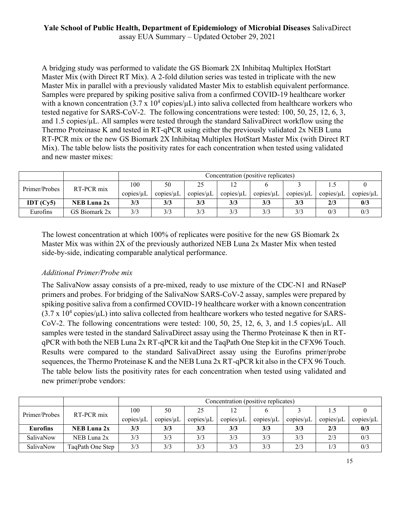A bridging study was performed to validate the GS Biomark 2X Inhibitaq Multiplex HotStart Master Mix (with Direct RT Mix). A 2-fold dilution series was tested in triplicate with the new Master Mix in parallel with a previously validated Master Mix to establish equivalent performance. Samples were prepared by spiking positive saliva from a confirmed COVID-19 healthcare worker with a known concentration  $(3.7 \times 10^4 \text{ copies/}\mu\text{L})$  into saliva collected from healthcare workers who tested negative for SARS-CoV-2. The following concentrations were tested: 100, 50, 25, 12, 6, 3, and  $1.5$  copies/ $\mu$ L. All samples were tested through the standard SalivaDirect workflow using the Thermo Proteinase K and tested in RT-qPCR using either the previously validated 2x NEB Luna RT-PCR mix or the new GS Biomark 2X Inhibitaq Multiplex HotStart Master Mix (with Direct RT Mix). The table below lists the positivity rates for each concentration when tested using validated and new master mixes:

|               |               |                 | Concentration (positive replicates) |                 |                 |           |                 |                           |                 |
|---------------|---------------|-----------------|-------------------------------------|-----------------|-----------------|-----------|-----------------|---------------------------|-----------------|
| Primer/Probes | RT-PCR mix    | 100             | 50                                  | 25              |                 |           |                 |                           |                 |
|               |               | copies/ $\mu$ L | copies/ $\mu$ L                     | copies/ $\mu$ L | copies/ $\mu$ L | copies/uL | copies/ $\mu$ L | $\text{copies}/\text{uL}$ | copies/ $\mu$ L |
| IDT $(Cv5)$   | NEB Luna 2x   | 3/3             | 3/3                                 | 3/3             | 3/3             | 3/3       | 3/3             | 2/3                       | 0/3             |
| Eurofins      | GS Biomark 2x | 3/3             | 3/3                                 | 3/3             | 3/3             | 3/3       | 3/3             | 0/3                       | 0/3             |

The lowest concentration at which 100% of replicates were positive for the new GS Biomark 2x Master Mix was within 2X of the previously authorized NEB Luna 2x Master Mix when tested side-by-side, indicating comparable analytical performance.

#### *Additional Primer/Probe mix*

The SalivaNow assay consists of a pre-mixed, ready to use mixture of the CDC-N1 and RNaseP primers and probes. For bridging of the SalivaNow SARS-CoV-2 assay, samples were prepared by spiking positive saliva from a confirmed COVID-19 healthcare worker with a known concentration  $(3.7 \times 10^4 \text{ copies/}\mu\text{L})$  into saliva collected from healthcare workers who tested negative for SARS-CoV-2. The following concentrations were tested: 100, 50, 25, 12, 6, 3, and 1.5 copies/µL. All samples were tested in the standard SalivaDirect assay using the Thermo Proteinase K then in RTqPCR with both the NEB Luna 2x RT-qPCR kit and the TaqPath One Step kit in the CFX96 Touch. Results were compared to the standard SalivaDirect assay using the Eurofins primer/probe sequences, the Thermo Proteinase K and the NEB Luna 2x RT-qPCR kit also in the CFX 96 Touch. The table below lists the positivity rates for each concentration when tested using validated and new primer/probe vendors:

|                             |                    |           | Concentration (positive replicates) |           |           |                 |                 |                           |                 |
|-----------------------------|--------------------|-----------|-------------------------------------|-----------|-----------|-----------------|-----------------|---------------------------|-----------------|
| RT-PCR mix<br>Primer/Probes | 100                | 50        | 25                                  |           |           |                 |                 |                           |                 |
|                             |                    | copies/µL | copies/µL                           | copies/µL | copies/µL | copies/ $\mu$ L | copies/ $\mu$ L | $\text{copies}/\text{uL}$ | copies/ $\mu$ L |
| <b>Eurofins</b>             | <b>NEB Luna 2x</b> | 3/3       | 3/3                                 | 3/3       | 3/3       | 3/3             | 3/3             | 2/3                       | 0/3             |
| SalivaNow                   | NEB Luna 2x        | 3/3       | 3/3                                 | 3/3       | 3/3       | 3/3             | 3/3             | 2/3                       | 0/3             |
| SalivaNow                   | TaqPath One Step   | 3/3       | 3/3                                 | 3/3       | 3/3       | 3/3             | 2/3             |                           | 0/3             |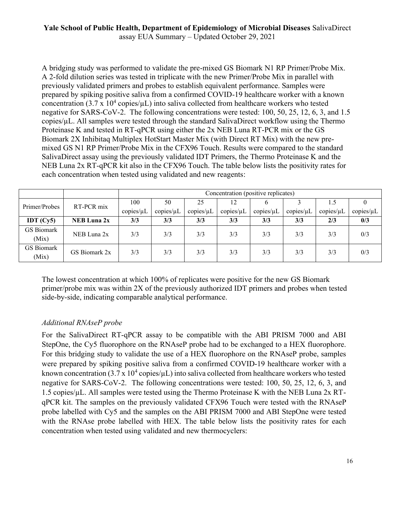# **Yale School of Public Health, Department of Epidemiology of Microbial Diseases** SalivaDirect

assay EUA Summary – Updated October 29, 2021

A bridging study was performed to validate the pre-mixed GS Biomark N1 RP Primer/Probe Mix. A 2-fold dilution series was tested in triplicate with the new Primer/Probe Mix in parallel with previously validated primers and probes to establish equivalent performance. Samples were prepared by spiking positive saliva from a confirmed COVID-19 healthcare worker with a known concentration (3.7 x  $10^4$  copies/ $\mu$ L) into saliva collected from healthcare workers who tested negative for SARS-CoV-2. The following concentrations were tested: 100, 50, 25, 12, 6, 3, and 1.5 copies/µL. All samples were tested through the standard SalivaDirect workflow using the Thermo Proteinase K and tested in RT-qPCR using either the 2x NEB Luna RT-PCR mix or the GS Biomark 2X Inhibitaq Multiplex HotStart Master Mix (with Direct RT Mix) with the new premixed GS N1 RP Primer/Probe Mix in the CFX96 Touch. Results were compared to the standard SalivaDirect assay using the previously validated IDT Primers, the Thermo Proteinase K and the NEB Luna 2x RT-qPCR kit also in the CFX96 Touch. The table below lists the positivity rates for each concentration when tested using validated and new reagents:

|                                 |                    |           | Concentration (positive replicates) |                 |           |           |           |           |     |  |
|---------------------------------|--------------------|-----------|-------------------------------------|-----------------|-----------|-----------|-----------|-----------|-----|--|
| Primer/Probes                   | RT-PCR mix         | 100       | 50                                  | 25              | 12        | O         |           |           |     |  |
|                                 | copies/µL          | copies/µL | copies/ $\mu$ L                     | copies/ $\mu$ L | copies/µL | copies/µL | copies/µL | copies/µL |     |  |
| IDT $\left(\mathrm{Cy5}\right)$ | <b>NEB Luna 2x</b> | 3/3       | 3/3                                 | 3/3             | 3/3       | 3/3       | 3/3       | 2/3       | 0/3 |  |
| <b>GS</b> Biomark<br>(Mix)      | NEB Luna 2x        | 3/3       | 3/3                                 | 3/3             | 3/3       | 3/3       | 3/3       | 3/3       | 0/3 |  |
| GS Biomark<br>(Mix)             | GS Biomark 2x      | 3/3       | 3/3                                 | 3/3             | 3/3       | 3/3       | 3/3       | 3/3       | 0/3 |  |

The lowest concentration at which 100% of replicates were positive for the new GS Biomark primer/probe mix was within 2X of the previously authorized IDT primers and probes when tested side-by-side, indicating comparable analytical performance.

#### *Additional RNAseP probe*

For the SalivaDirect RT-qPCR assay to be compatible with the ABI PRISM 7000 and ABI StepOne, the Cy5 fluorophore on the RNAseP probe had to be exchanged to a HEX fluorophore. For this bridging study to validate the use of a HEX fluorophore on the RNAseP probe, samples were prepared by spiking positive saliva from a confirmed COVID-19 healthcare worker with a known concentration (3.7 x 10<sup>4</sup> copies/ $\mu$ L) into saliva collected from healthcare workers who tested negative for SARS-CoV-2. The following concentrations were tested: 100, 50, 25, 12, 6, 3, and 1.5 copies/ $\mu$ L. All samples were tested using the Thermo Proteinase K with the NEB Luna 2x RTqPCR kit. The samples on the previously validated CFX96 Touch were tested with the RNAseP probe labelled with Cy5 and the samples on the ABI PRISM 7000 and ABI StepOne were tested with the RNAse probe labelled with HEX. The table below lists the positivity rates for each concentration when tested using validated and new thermocyclers: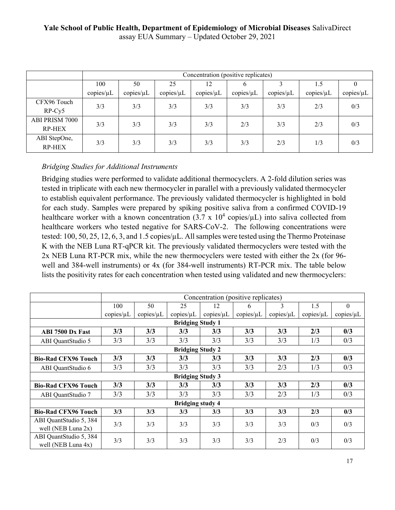|                                        |           | Concentration (positive replicates) |                 |           |           |           |           |           |  |  |
|----------------------------------------|-----------|-------------------------------------|-----------------|-----------|-----------|-----------|-----------|-----------|--|--|
|                                        | 100       | 50                                  | 25              | 12        | o         |           | 1.5       | v         |  |  |
|                                        | copies/µL | copies/µL                           | copies/ $\mu$ L | copies/µL | copies/µL | copies/µL | copies/µL | copies/µL |  |  |
| CFX96 Touch<br>$RP-Cy5$                | 3/3       | 3/3                                 | 3/3             | 3/3       | 3/3       | 3/3       | 2/3       | 0/3       |  |  |
| <b>ABI PRISM 7000</b><br><b>RP-HEX</b> | 3/3       | 3/3                                 | 3/3             | 3/3       | 2/3       | 3/3       | 2/3       | 0/3       |  |  |
| ABI StepOne,<br><b>RP-HEX</b>          | 3/3       | 3/3                                 | 3/3             | 3/3       | 3/3       | 2/3       | 1/3       | 0/3       |  |  |

# *Bridging Studies for Additional Instruments*

Bridging studies were performed to validate additional thermocyclers. A 2-fold dilution series was tested in triplicate with each new thermocycler in parallel with a previously validated thermocycler to establish equivalent performance. The previously validated thermocycler is highlighted in bold for each study. Samples were prepared by spiking positive saliva from a confirmed COVID-19 healthcare worker with a known concentration  $(3.7 \times 10^4 \text{ copies/}\mu\text{L})$  into saliva collected from healthcare workers who tested negative for SARS-CoV-2. The following concentrations were tested: 100, 50, 25, 12, 6, 3, and 1.5 copies/µL. All samples were tested using the Thermo Proteinase K with the NEB Luna RT-qPCR kit. The previously validated thermocyclers were tested with the 2x NEB Luna RT-PCR mix, while the new thermocyclers were tested with either the 2x (for 96 well and 384-well instruments) or 4x (for 384-well instruments) RT-PCR mix. The table below lists the positivity rates for each concentration when tested using validated and new thermocyclers:

|                            |                 | Concentration (positive replicates) |                         |                 |           |           |                 |                 |
|----------------------------|-----------------|-------------------------------------|-------------------------|-----------------|-----------|-----------|-----------------|-----------------|
|                            | 100             | 50                                  | 25                      | 12              | 6         | 3         | 1.5             | $\Omega$        |
|                            | copies/ $\mu$ L | copies/µL                           | copies/ $\mu$ L         | copies/ $\mu$ L | copies/µL | copies/µL | copies/ $\mu$ L | copies/ $\mu$ L |
|                            |                 |                                     | <b>Bridging Study 1</b> |                 |           |           |                 |                 |
| <b>ABI 7500 Dx Fast</b>    | 3/3             | 3/3                                 | 3/3                     | 3/3             | 3/3       | 3/3       | 2/3             | 0/3             |
| ABI QuantStudio 5          | 3/3             | 3/3                                 | 3/3                     | 3/3             | 3/3       | 3/3       | 1/3             | 0/3             |
|                            |                 |                                     | <b>Bridging Study 2</b> |                 |           |           |                 |                 |
| <b>Bio-Rad CFX96 Touch</b> | 3/3             | 3/3                                 | 3/3                     | 3/3             | 3/3       | 3/3       | 2/3             | 0/3             |
| ABI QuantStudio 6          | 3/3             | 3/3                                 | 3/3                     | 3/3             | 3/3       | 2/3       | 1/3             | 0/3             |
|                            |                 |                                     | <b>Bridging Study 3</b> |                 |           |           |                 |                 |
| <b>Bio-Rad CFX96 Touch</b> | 3/3             | 3/3                                 | 3/3                     | 3/3             | 3/3       | 3/3       | 2/3             | 0/3             |
| ABI QuantStudio 7          | 3/3             | 3/3                                 | 3/3                     | 3/3             | 3/3       | 2/3       | 1/3             | 0/3             |
|                            |                 |                                     | <b>Bridging study 4</b> |                 |           |           |                 |                 |
| <b>Bio-Rad CFX96 Touch</b> | 3/3             | 3/3                                 | 3/3                     | 3/3             | 3/3       | 3/3       | 2/3             | 0/3             |
| ABI QuantStudio 5, 384     | 3/3             | 3/3                                 | 3/3                     | 3/3             | 3/3       | 3/3       | 0/3             | 0/3             |
| well (NEB Luna $2x$ )      |                 |                                     |                         |                 |           |           |                 |                 |
| ABI QuantStudio 5, 384     | 3/3             | 3/3                                 | 3/3                     | 3/3             | 3/3       | 2/3       | 0/3             | 0/3             |
| well (NEB Luna $4x$ )      |                 |                                     |                         |                 |           |           |                 |                 |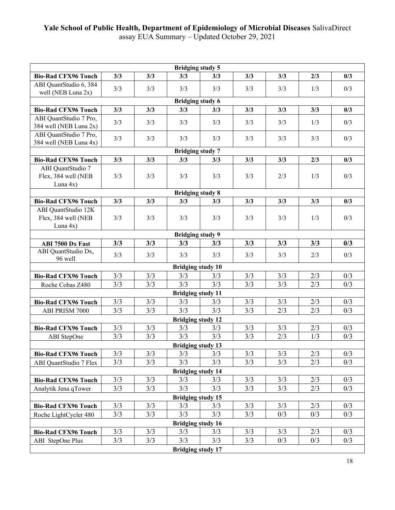|                                                  |            |            | <b>Bridging study 5</b>         |            |            |            |            |            |
|--------------------------------------------------|------------|------------|---------------------------------|------------|------------|------------|------------|------------|
| <b>Bio-Rad CFX96 Touch</b>                       | 3/3        | 3/3        | 3/3                             | 3/3        | 3/3        | 3/3        | 2/3        | 0/3        |
| ABI QuantStudio 6, 384                           | 3/3        | 3/3        | 3/3                             | 3/3        | 3/3        | 3/3        | 1/3        | 0/3        |
| well (NEB Luna 2x)                               |            |            |                                 |            |            |            |            |            |
|                                                  |            |            | <b>Bridging study 6</b>         |            |            |            |            |            |
| <b>Bio-Rad CFX96 Touch</b>                       | 3/3        | 3/3        | 3/3                             | 3/3        | 3/3        | 3/3        | 3/3        | 0/3        |
| ABI QuantStudio 7 Pro,<br>384 well (NEB Luna 2x) | 3/3        | 3/3        | 3/3                             | 3/3        | 3/3        | 3/3        | 1/3        | 0/3        |
| ABI QuantStudio 7 Pro,                           | 3/3        | 3/3        | 3/3                             | 3/3        | 3/3        | 3/3        | 3/3        | 0/3        |
| 384 well (NEB Luna 4x)                           |            |            | <b>Bridging study 7</b>         |            |            |            |            |            |
| <b>Bio-Rad CFX96 Touch</b>                       | 3/3        | 3/3        | 3/3                             | 3/3        | 3/3        | 3/3        | 2/3        | 0/3        |
| ABI QuantStudio 7                                |            |            |                                 |            |            |            |            |            |
| Flex, 384 well (NEB                              | 3/3        | 3/3        | 3/3                             | 3/3        | 3/3        | 2/3        | 1/3        | 0/3        |
| Luna $4x$ )                                      |            |            |                                 |            |            |            |            |            |
|                                                  |            |            | <b>Bridging study 8</b>         |            |            |            |            |            |
| <b>Bio-Rad CFX96 Touch</b>                       | 3/3        | 3/3        | 3/3                             | 3/3        | 3/3        | 3/3        | 3/3        | 0/3        |
| ABI QuantStudio 12K<br>Flex, 384 well (NEB       | 3/3        | 3/3        | 3/3                             | 3/3        | 3/3        | 3/3        | 1/3        | 0/3        |
| Luna $4x$ )                                      |            |            |                                 |            |            |            |            |            |
|                                                  |            |            | <b>Bridging study 9</b>         |            |            |            |            |            |
| ABI 7500 Dx Fast                                 | 3/3        | 3/3        | 3/3                             | 3/3        | 3/3        | 3/3        | 3/3        | 0/3        |
| ABI QuantStudio Dx,<br>96 well                   | 3/3        | 3/3        | 3/3                             | 3/3        | 3/3        | 3/3        | 2/3        | 0/3        |
|                                                  |            |            | <b>Bridging study 10</b>        |            |            |            |            |            |
| <b>Bio-Rad CFX96 Touch</b>                       | 3/3        | 3/3        | 3/3                             | 3/3        | 3/3        | 3/3        | 2/3        | 0/3        |
| Roche Cobas Z480                                 | 3/3        | 3/3        | 3/3                             | 3/3        | 3/3        | 3/3        | 2/3        | 0/3        |
|                                                  |            |            | <b>Bridging study 11</b>        |            |            |            |            |            |
| <b>Bio-Rad CFX96 Touch</b>                       | 3/3        | 3/3        | 3/3                             | 3/3        | 3/3        | 3/3        | 2/3        | 0/3        |
| ABI PRISM 7000                                   | 3/3        | 3/3        | 3/3                             | 3/3        | 3/3        | 2/3        | 2/3        | 0/3        |
|                                                  |            |            | <b>Bridging study 12</b>        |            |            |            |            |            |
| <b>Bio-Rad CFX96 Touch</b>                       | 3/3        | 3/3        | 3/3                             | 3/3        | 3/3        | 3/3        | 2/3        | 0/3        |
| ABI StepOne                                      | 3/3        | 3/3        | 3/3                             | 3/3        | 3/3        | 2/3        | 1/3        | 0/3        |
|                                                  |            |            | <b>Bridging study 13</b>        |            |            |            |            |            |
| <b>Bio-Rad CFX96 Touch</b>                       | 3/3        | 3/3        | 3/3                             | 3/3        | 3/3        | 3/3        | 2/3        | 0/3        |
| ABI QuantStudio 7 Flex                           | 3/3        | 3/3        | 3/3                             | 3/3        | 3/3        | 3/3        | 2/3        | 0/3        |
|                                                  |            |            | <b>Bridging study 14</b>        |            |            |            |            |            |
| <b>Bio-Rad CFX96 Touch</b>                       | 3/3<br>3/3 | 3/3<br>3/3 | 3/3<br>3/3                      | 3/3<br>3/3 | 3/3<br>3/3 | 3/3<br>3/3 | 2/3<br>2/3 | 0/3<br>0/3 |
| Analytik Jena qTower                             |            |            |                                 |            |            |            |            |            |
| <b>Bio-Rad CFX96 Touch</b>                       | 3/3        | 3/3        | <b>Bridging study 15</b><br>3/3 | 3/3        | 3/3        | 3/3        | 2/3        | 0/3        |
| Roche LightCycler 480                            | 3/3        | 3/3        | 3/3                             | 3/3        | 3/3        | 0/3        | 0/3        | 0/3        |
|                                                  |            |            | <b>Bridging study 16</b>        |            |            |            |            |            |
| <b>Bio-Rad CFX96 Touch</b>                       | 3/3        | 3/3        | 3/3                             | 3/3        | 3/3        | 3/3        | 2/3        | 0/3        |
| ABI StepOne Plus                                 | 3/3        | 3/3        | 3/3                             | 3/3        | 3/3        | 0/3        | 0/3        | 0/3        |
|                                                  |            |            | <b>Bridging study 17</b>        |            |            |            |            |            |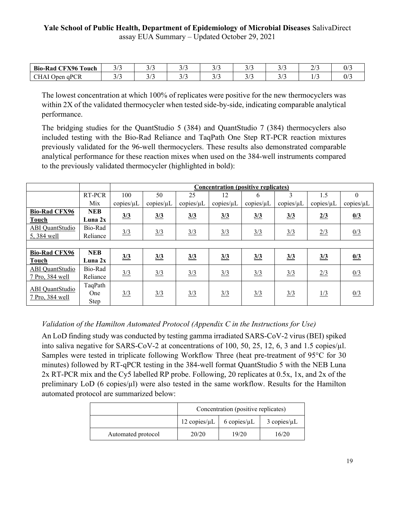| <b>CFX96 To</b><br><b>Bio-Rad</b><br>∶ouch | $\sim$ $\prime$<br>ر ر | ر ر | $\sim$ $\sim$ | $\sqrt{ }$<br>້<br>-              | $\sim$ $\prime$<br>- -     | -- |  |
|--------------------------------------------|------------------------|-----|---------------|-----------------------------------|----------------------------|----|--|
| <b>CHAI O</b><br><sup>T</sup> Open qPCR    |                        | ر ر | <u>. .</u>    | $\overline{\phantom{a}}$<br>ر ، ر | $\sim$ $\mu$<br><u>. .</u> | .  |  |

The lowest concentration at which 100% of replicates were positive for the new thermocyclers was within 2X of the validated thermocycler when tested side-by-side, indicating comparable analytical performance.

The bridging studies for the QuantStudio 5 (384) and QuantStudio 7 (384) thermocyclers also included testing with the Bio-Rad Reliance and TaqPath One Step RT-PCR reaction mixtures previously validated for the 96-well thermocyclers. These results also demonstrated comparable analytical performance for these reaction mixes when used on the 384-well instruments compared to the previously validated thermocycler (highlighted in bold):

|                      |            |           | <b>Concentration (positive replicates)</b> |               |               |               |                 |               |                 |
|----------------------|------------|-----------|--------------------------------------------|---------------|---------------|---------------|-----------------|---------------|-----------------|
|                      | RT-PCR     | 100       | 50                                         | 25            | 12            | 6             | 3               | 1.5           | $\Omega$        |
|                      | Mix        | copies/µL | copies/ $\mu$ L                            | copies/µL     | copies/µL     | copies/µL     | copies/ $\mu$ L | copies/µL     | copies/ $\mu$ L |
| <b>Bio-Rad CFX96</b> | <b>NEB</b> |           |                                            |               |               |               |                 |               |                 |
| Touch                | Luna $2x$  | 3/3       | 3/3                                        | 3/3           | 3/3           | 3/3           | 3/3             | 2/3           | 0/3             |
| ABI QuantStudio      | Bio-Rad    | 3/3       | 3/3                                        |               | $\frac{3}{3}$ |               | $\frac{3}{3}$   | 2/3           | 0/3             |
| 5,384 well           | Reliance   |           |                                            | $\frac{3}{3}$ |               | $\frac{3}{3}$ |                 |               |                 |
|                      |            |           |                                            |               |               |               |                 |               |                 |
| <b>Bio-Rad CFX96</b> | <b>NEB</b> | 3/3       | 3/3                                        | 3/3           | 3/3           | 3/3           | 3/3             | $\frac{3}{3}$ | 0/3             |
| <b>Touch</b>         | Luna $2x$  |           |                                            |               |               |               |                 |               |                 |
| ABI QuantStudio      | Bio-Rad    | 3/3       | 3/3                                        | 3/3           | 3/3           | 3/3           | 3/3             | 2/3           | 0/3             |
| 7 Pro, 384 well      | Reliance   |           |                                            |               |               |               |                 |               |                 |
| ABI QuantStudio      | TaqPath    |           |                                            |               |               |               |                 |               |                 |
| 7 Pro, 384 well      | One        | 3/3       | 3/3                                        | 3/3           | 3/3           | $\frac{3}{3}$ | 3/3             | $\frac{1}{3}$ | 0/3             |
|                      | Step       |           |                                            |               |               |               |                 |               |                 |

#### *Validation of the Hamilton Automated Protocol (Appendix C in the Instructions for Use)*

An LoD finding study was conducted by testing gamma irradiated SARS-CoV-2 virus (BEI) spiked into saliva negative for SARS-CoV-2 at concentrations of 100, 50, 25, 12, 6, 3 and 1.5 copies/µl. Samples were tested in triplicate following Workflow Three (heat pre-treatment of 95°C for 30 minutes) followed by RT-qPCR testing in the 384-well format QuantStudio 5 with the NEB Luna 2x RT-PCR mix and the Cy5 labelled RP probe. Following, 20 replicates at 0.5x, 1x, and 2x of the preliminary  $LoD$  (6 copies/ $\mu$ ) were also tested in the same workflow. Results for the Hamilton automated protocol are summarized below:

|                    | Concentration (positive replicates)                              |       |       |  |
|--------------------|------------------------------------------------------------------|-------|-------|--|
|                    | 12 copies/ $\mu L$<br>$6$ copies/ $\mu$ L<br>$3$ copies/ $\mu$ L |       |       |  |
| Automated protocol | 20/20                                                            | 19/20 | 16/20 |  |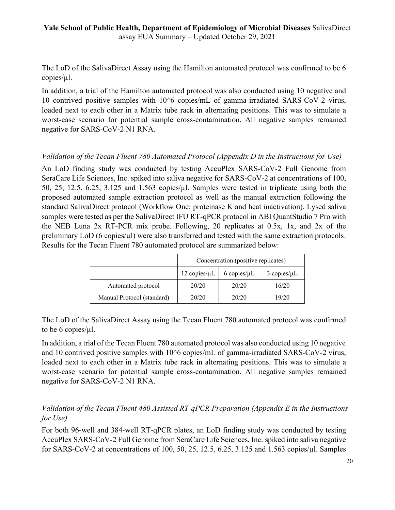The LoD of the SalivaDirect Assay using the Hamilton automated protocol was confirmed to be 6 copies/µl.

In addition, a trial of the Hamilton automated protocol was also conducted using 10 negative and 10 contrived positive samples with 10^6 copies/mL of gamma-irradiated SARS-CoV-2 virus, loaded next to each other in a Matrix tube rack in alternating positions. This was to simulate a worst-case scenario for potential sample cross-contamination. All negative samples remained negative for SARS-CoV-2 N1 RNA.

## *Validation of the Tecan Fluent 780 Automated Protocol (Appendix D in the Instructions for Use)*

An LoD finding study was conducted by testing AccuPlex SARS-CoV-2 Full Genome from SeraCare Life Sciences, Inc. spiked into saliva negative for SARS-CoV-2 at concentrations of 100, 50, 25, 12.5, 6.25, 3.125 and 1.563 copies/ $\mu$ l. Samples were tested in triplicate using both the proposed automated sample extraction protocol as well as the manual extraction following the standard SalivaDirect protocol (Workflow One: proteinase K and heat inactivation). Lysed saliva samples were tested as per the SalivaDirect IFU RT-qPCR protocol in ABI QuantStudio 7 Pro with the NEB Luna 2x RT-PCR mix probe. Following, 20 replicates at 0.5x, 1x, and 2x of the preliminary LoD (6 copies/µl) were also transferred and tested with the same extraction protocols. Results for the Tecan Fluent 780 automated protocol are summarized below:

|                            | Concentration (positive replicates)                                |       |       |  |
|----------------------------|--------------------------------------------------------------------|-------|-------|--|
|                            | $12$ copies/ $\mu$ L<br>$6$ copies/ $\mu$ L<br>$3$ copies/ $\mu$ L |       |       |  |
| Automated protocol         | 20/20                                                              | 20/20 | 16/20 |  |
| Manual Protocol (standard) | 20/20                                                              | 20/20 | 19/20 |  |

The LoD of the SalivaDirect Assay using the Tecan Fluent 780 automated protocol was confirmed to be 6 copies/µl.

In addition, a trial of the Tecan Fluent 780 automated protocol was also conducted using 10 negative and 10 contrived positive samples with 10^6 copies/mL of gamma-irradiated SARS-CoV-2 virus, loaded next to each other in a Matrix tube rack in alternating positions. This was to simulate a worst-case scenario for potential sample cross-contamination. All negative samples remained negative for SARS-CoV-2 N1 RNA.

# *Validation of the Tecan Fluent 480 Assisted RT-qPCR Preparation (Appendix E in the Instructions for Use)*

For both 96-well and 384-well RT-qPCR plates, an LoD finding study was conducted by testing AccuPlex SARS-CoV-2 Full Genome from SeraCare Life Sciences, Inc. spiked into saliva negative for SARS-CoV-2 at concentrations of 100, 50, 25, 12.5, 6.25, 3.125 and 1.563 copies/µl. Samples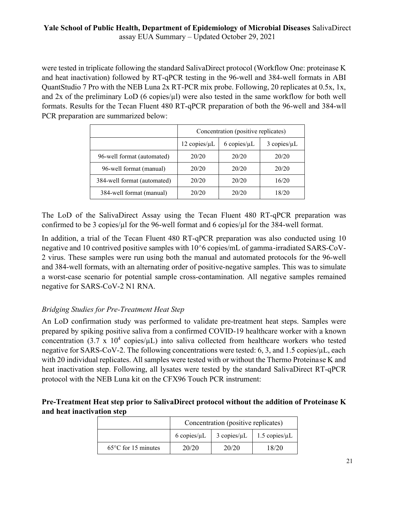were tested in triplicate following the standard SalivaDirect protocol (Workflow One: proteinase K and heat inactivation) followed by RT-qPCR testing in the 96-well and 384-well formats in ABI QuantStudio 7 Pro with the NEB Luna 2x RT-PCR mix probe. Following, 20 replicates at 0.5x, 1x, and 2x of the preliminary LoD (6 copies/ul) were also tested in the same workflow for both well formats. Results for the Tecan Fluent 480 RT-qPCR preparation of both the 96-well and 384-wll PCR preparation are summarized below:

|                             | Concentration (positive replicates) |                     |                     |  |
|-----------------------------|-------------------------------------|---------------------|---------------------|--|
|                             | $12$ copies/ $\mu$ L                | $6$ copies/ $\mu$ L | $3$ copies/ $\mu$ L |  |
| 96-well format (automated)  | 20/20                               | 20/20               | 20/20               |  |
| 96-well format (manual)     | 20/20                               | 20/20               | 20/20               |  |
| 384-well format (automated) | 20/20                               | 20/20               | 16/20               |  |
| 384-well format (manual)    | 20/20                               | 20/20               | 18/20               |  |

The LoD of the SalivaDirect Assay using the Tecan Fluent 480 RT-qPCR preparation was confirmed to be 3 copies/µl for the 96-well format and 6 copies/µl for the 384-well format.

In addition, a trial of the Tecan Fluent 480 RT-qPCR preparation was also conducted using 10 negative and 10 contrived positive samples with 10^6 copies/mL of gamma-irradiated SARS-CoV-2 virus. These samples were run using both the manual and automated protocols for the 96-well and 384-well formats, with an alternating order of positive-negative samples. This was to simulate a worst-case scenario for potential sample cross-contamination. All negative samples remained negative for SARS-CoV-2 N1 RNA.

# *Bridging Studies for Pre-Treatment Heat Step*

An LoD confirmation study was performed to validate pre-treatment heat steps. Samples were prepared by spiking positive saliva from a confirmed COVID-19 healthcare worker with a known concentration (3.7 x  $10^4$  copies/ $\mu$ L) into saliva collected from healthcare workers who tested negative for SARS-CoV-2. The following concentrations were tested: 6, 3, and 1.5 copies/µL, each with 20 individual replicates. All samples were tested with or without the Thermo Proteinase K and heat inactivation step. Following, all lysates were tested by the standard SalivaDirect RT-qPCR protocol with the NEB Luna kit on the CFX96 Touch PCR instrument:

## **Pre-Treatment Heat step prior to SalivaDirect protocol without the addition of Proteinase K and heat inactivation step**

|                               | Concentration (positive replicates)                                 |       |       |  |
|-------------------------------|---------------------------------------------------------------------|-------|-------|--|
|                               | $6$ copies/ $\mu$ L<br>$3$ copies/ $\mu$ L<br>$1.5$ copies/ $\mu$ L |       |       |  |
| $65^{\circ}$ C for 15 minutes | 20/20                                                               | 20/20 | 18/20 |  |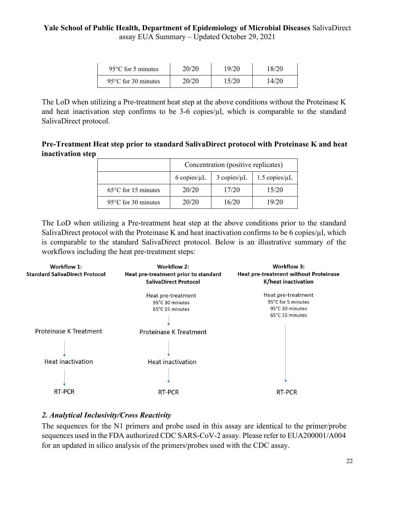| $95^{\circ}$ C for 5 minutes  | 20/20 | 19/20 | 18/20 |
|-------------------------------|-------|-------|-------|
| $95^{\circ}$ C for 30 minutes | 20/20 | 15/20 | 14/20 |

The LoD when utilizing a Pre-treatment heat step at the above conditions without the Proteinase K and heat inactivation step confirms to be  $3-6$  copies/ $\mu$ l, which is comparable to the standard SalivaDirect protocol.

**Pre-Treatment Heat step prior to standard SalivaDirect protocol with Proteinase K and heat inactivation step**

|                               | Concentration (positive replicates)                                 |       |       |  |  |
|-------------------------------|---------------------------------------------------------------------|-------|-------|--|--|
|                               | $6$ copies/ $\mu$ L<br>$3$ copies/ $\mu$ L<br>$1.5$ copies/ $\mu$ L |       |       |  |  |
| $65^{\circ}$ C for 15 minutes | 20/20                                                               | 17/20 | 15/20 |  |  |
| $95^{\circ}$ C for 30 minutes | 20/20                                                               | 16/20 | 19/20 |  |  |

The LoD when utilizing a Pre-treatment heat step at the above conditions prior to the standard SalivaDirect protocol with the Proteinase K and heat inactivation confirms to be 6 copies/ $\mu$ l, which is comparable to the standard SalivaDirect protocol. Below is an illustrative summary of the workflows including the heat pre-treatment steps:



#### *2. Analytical Inclusivity/Cross Reactivity*

The sequences for the N1 primers and probe used in this assay are identical to the primer/probe sequences used in the FDA authorized CDC SARS-CoV-2 assay. Please refer to EUA200001/A004 for an updated in silico analysis of the primers/probes used with the CDC assay.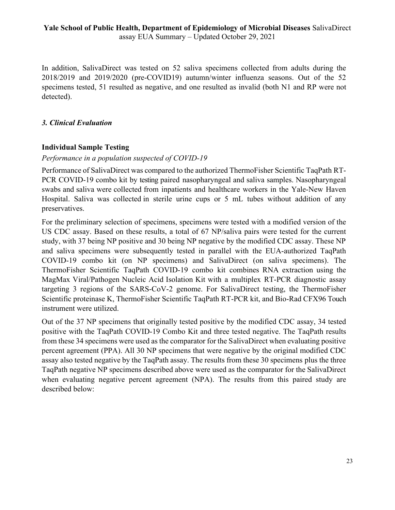In addition, SalivaDirect was tested on 52 saliva specimens collected from adults during the 2018/2019 and 2019/2020 (pre-COVID19) autumn/winter influenza seasons. Out of the 52 specimens tested, 51 resulted as negative, and one resulted as invalid (both N1 and RP were not detected).

## *3. Clinical Evaluation*

## **Individual Sample Testing**

#### *Performance in a population suspected of COVID-19*

Performance of SalivaDirect was compared to the authorized ThermoFisher Scientific TaqPath RT-PCR COVID-19 combo kit by testing paired nasopharyngeal and saliva samples. Nasopharyngeal swabs and saliva were collected from inpatients and healthcare workers in the Yale-New Haven Hospital. Saliva was collected in sterile urine cups or 5 mL tubes without addition of any preservatives.

For the preliminary selection of specimens, specimens were tested with a modified version of the US CDC assay. Based on these results, a total of 67 NP/saliva pairs were tested for the current study, with 37 being NP positive and 30 being NP negative by the modified CDC assay. These NP and saliva specimens were subsequently tested in parallel with the EUA-authorized TaqPath COVID-19 combo kit (on NP specimens) and SalivaDirect (on saliva specimens). The ThermoFisher Scientific TaqPath COVID-19 combo kit combines RNA extraction using the MagMax Viral/Pathogen Nucleic Acid Isolation Kit with a multiplex RT-PCR diagnostic assay targeting 3 regions of the SARS-CoV-2 genome. For SalivaDirect testing, the ThermoFisher Scientific proteinase K, ThermoFisher Scientific TaqPath RT-PCR kit, and Bio-Rad CFX96 Touch instrument were utilized.

Out of the 37 NP specimens that originally tested positive by the modified CDC assay, 34 tested positive with the TaqPath COVID-19 Combo Kit and three tested negative. The TaqPath results from these 34 specimens were used as the comparator for the SalivaDirect when evaluating positive percent agreement (PPA). All 30 NP specimens that were negative by the original modified CDC assay also tested negative by the TaqPath assay. The results from these 30 specimens plus the three TaqPath negative NP specimens described above were used as the comparator for the SalivaDirect when evaluating negative percent agreement (NPA). The results from this paired study are described below: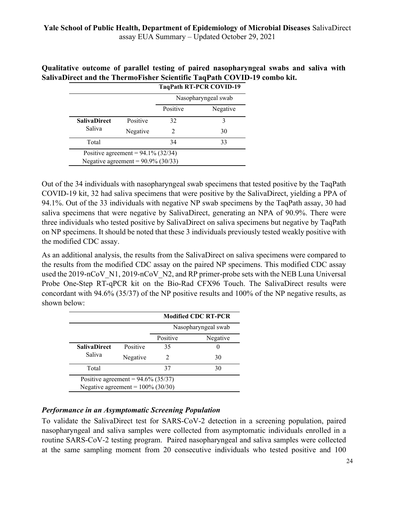**Qualitative outcome of parallel testing of paired nasopharyngeal swabs and saliva with SalivaDirect and the ThermoFisher Scientific TaqPath COVID-19 combo kit. TaqPath RT-PCR COVID-19**

|                                       |                                       |                     | 1 ayı atlı in 1 -1 yan yüvetler |  |
|---------------------------------------|---------------------------------------|---------------------|---------------------------------|--|
|                                       |                                       | Nasopharyngeal swab |                                 |  |
|                                       |                                       | Positive            | Negative                        |  |
| <b>SalivaDirect</b>                   | Positive                              | 32                  |                                 |  |
| Saliva                                | Negative                              |                     | 30                              |  |
| Total                                 |                                       | 34                  | 33                              |  |
|                                       | Positive agreement = $94.1\%$ (32/34) |                     |                                 |  |
| Negative agreement = $90.9\%$ (30/33) |                                       |                     |                                 |  |

Out of the 34 individuals with nasopharyngeal swab specimens that tested positive by the TaqPath COVID-19 kit, 32 had saliva specimens that were positive by the SalivaDirect, yielding a PPA of 94.1%. Out of the 33 individuals with negative NP swab specimens by the TaqPath assay, 30 had saliva specimens that were negative by SalivaDirect, generating an NPA of 90.9%. There were three individuals who tested positive by SalivaDirect on saliva specimens but negative by TaqPath on NP specimens. It should be noted that these 3 individuals previously tested weakly positive with the modified CDC assay.

As an additional analysis, the results from the SalivaDirect on saliva specimens were compared to the results from the modified CDC assay on the paired NP specimens. This modified CDC assay used the 2019-nCoV N1, 2019-nCoV N2, and RP primer-probe sets with the NEB Luna Universal Probe One-Step RT-qPCR kit on the Bio-Rad CFX96 Touch. The SalivaDirect results were concordant with 94.6% (35/37) of the NP positive results and 100% of the NP negative results, as shown below:

|                                       |          | <b>Modified CDC RT-PCR</b>  |          |  |  |
|---------------------------------------|----------|-----------------------------|----------|--|--|
|                                       |          | Nasopharyngeal swab         |          |  |  |
|                                       |          | Positive                    | Negative |  |  |
| <b>SalivaDirect</b>                   | Positive | 35                          |          |  |  |
| Saliva                                | Negative | $\mathcal{D}_{\mathcal{L}}$ | 30       |  |  |
| Total                                 |          | 37                          | 30       |  |  |
| Positive agreement = $94.6\%$ (35/37) |          |                             |          |  |  |
| Negative agreement = $100\%$ (30/30)  |          |                             |          |  |  |

#### *Performance in an Asymptomatic Screening Population*

To validate the SalivaDirect test for SARS-CoV-2 detection in a screening population, paired nasopharyngeal and saliva samples were collected from asymptomatic individuals enrolled in a routine SARS-CoV-2 testing program. Paired nasopharyngeal and saliva samples were collected at the same sampling moment from 20 consecutive individuals who tested positive and 100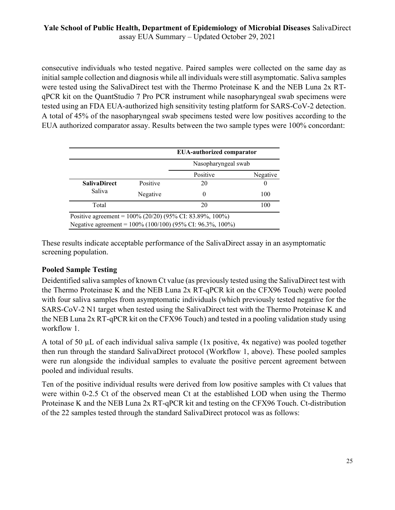consecutive individuals who tested negative. Paired samples were collected on the same day as initial sample collection and diagnosis while all individuals were still asymptomatic. Saliva samples were tested using the SalivaDirect test with the Thermo Proteinase K and the NEB Luna 2x RTqPCR kit on the QuantStudio 7 Pro PCR instrument while nasopharyngeal swab specimens were tested using an FDA EUA-authorized high sensitivity testing platform for SARS-CoV-2 detection. A total of 45% of the nasopharyngeal swab specimens tested were low positives according to the EUA authorized comparator assay. Results between the two sample types were 100% concordant:

|                     |          | <b>EUA-authorized comparator</b>                            |     |  |  |
|---------------------|----------|-------------------------------------------------------------|-----|--|--|
|                     |          | Nasopharyngeal swab                                         |     |  |  |
|                     |          | Positive<br>Negative                                        |     |  |  |
| <b>SalivaDirect</b> | Positive | 20                                                          |     |  |  |
| Saliva              | Negative | 0                                                           | 100 |  |  |
| Total               |          | 20                                                          | 100 |  |  |
|                     |          | Positive agreement = $100\%$ (20/20) (95% CI: 83.89%, 100%) |     |  |  |
|                     |          | Negative agreement = 100% (100/100) (95% CI: 96.3%, 100%)   |     |  |  |

These results indicate acceptable performance of the SalivaDirect assay in an asymptomatic screening population.

# **Pooled Sample Testing**

Deidentified saliva samples of known Ct value (as previously tested using the SalivaDirect test with the Thermo Proteinase K and the NEB Luna 2x RT-qPCR kit on the CFX96 Touch) were pooled with four saliva samples from asymptomatic individuals (which previously tested negative for the SARS-CoV-2 N1 target when tested using the SalivaDirect test with the Thermo Proteinase K and the NEB Luna 2x RT-qPCR kit on the CFX96 Touch) and tested in a pooling validation study using workflow 1.

A total of 50 µL of each individual saliva sample (1x positive, 4x negative) was pooled together then run through the standard SalivaDirect protocol (Workflow 1, above). These pooled samples were run alongside the individual samples to evaluate the positive percent agreement between pooled and individual results.

Ten of the positive individual results were derived from low positive samples with Ct values that were within 0-2.5 Ct of the observed mean Ct at the established LOD when using the Thermo Proteinase K and the NEB Luna 2x RT-qPCR kit and testing on the CFX96 Touch. Ct-distribution of the 22 samples tested through the standard SalivaDirect protocol was as follows: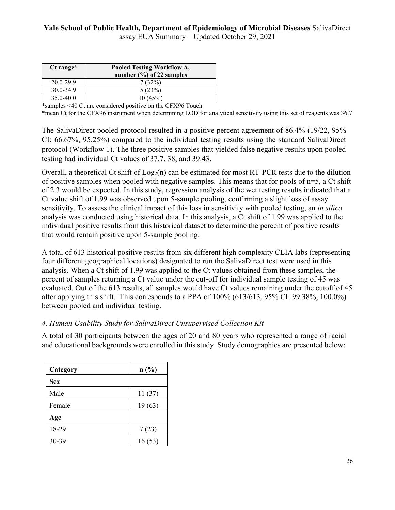# **Yale School of Public Health, Department of Epidemiology of Microbial Diseases** SalivaDirect

assay EUA Summary – Updated October 29, 2021

| Pooled Testing Workflow A,  |
|-----------------------------|
| number $(\%)$ of 22 samples |
| 7(32%)                      |
| 5(23%)                      |
| 10(45%)                     |
|                             |

\*samples <40 Ct are considered positive on the CFX96 Touch

\*mean Ct for the CFX96 instrument when determining LOD for analytical sensitivity using this set of reagents was 36.7

The SalivaDirect pooled protocol resulted in a positive percent agreement of 86.4% (19/22, 95% CI: 66.67%, 95.25%) compared to the individual testing results using the standard SalivaDirect protocol (Workflow 1). The three positive samples that yielded false negative results upon pooled testing had individual Ct values of 37.7, 38, and 39.43.

Overall, a theoretical Ct shift of  $Log_2(n)$  can be estimated for most RT-PCR tests due to the dilution of positive samples when pooled with negative samples. This means that for pools of  $n=5$ , a Ct shift of 2.3 would be expected. In this study, regression analysis of the wet testing results indicated that a Ct value shift of 1.99 was observed upon 5-sample pooling, confirming a slight loss of assay sensitivity. To assess the clinical impact of this loss in sensitivity with pooled testing, an *in silico* analysis was conducted using historical data. In this analysis, a Ct shift of 1.99 was applied to the individual positive results from this historical dataset to determine the percent of positive results that would remain positive upon 5-sample pooling.

A total of 613 historical positive results from six different high complexity CLIA labs (representing four different geographical locations) designated to run the SalivaDirect test were used in this analysis. When a Ct shift of 1.99 was applied to the Ct values obtained from these samples, the percent of samples returning a Ct value under the cut-off for individual sample testing of 45 was evaluated. Out of the 613 results, all samples would have Ct values remaining under the cutoff of 45 after applying this shift. This corresponds to a PPA of 100% (613/613, 95% CI: 99.38%, 100.0%) between pooled and individual testing.

#### *4. Human Usability Study for SalivaDirect Unsupervised Collection Kit*

A total of 30 participants between the ages of 20 and 80 years who represented a range of racial and educational backgrounds were enrolled in this study. Study demographics are presented below:

| Category   | n(%)   |
|------------|--------|
| <b>Sex</b> |        |
| Male       | 11(37) |
| Female     | 19(63) |
| Age        |        |
| 18-29      | 7(23)  |
| 30-39      | 16(53) |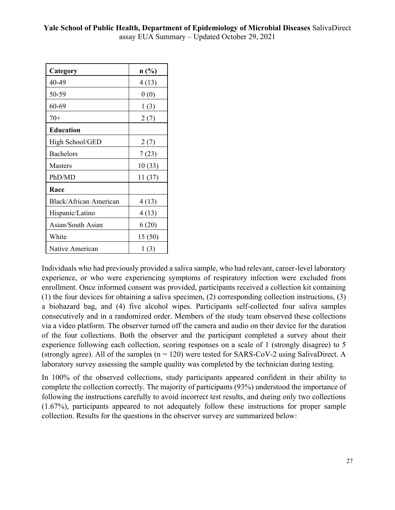| Category                      | $n$ (%) |
|-------------------------------|---------|
| 40-49                         | 4(13)   |
| 50-59                         | 0(0)    |
| 60-69                         | 1(3)    |
| $70+$                         | 2(7)    |
| <b>Education</b>              |         |
| High School/GED               | 2(7)    |
| <b>Bachelors</b>              | 7(23)   |
| <b>Masters</b>                | 10(33)  |
| PhD/MD                        | 11(37)  |
| Race                          |         |
| <b>Black/African American</b> | 4(13)   |
| Hispanic/Latino               | 4(13)   |
| Asian/South Asian             | 6(20)   |
| White                         | 15(50)  |
| Native American               | 1(3)    |

Individuals who had previously provided a saliva sample, who had relevant, career-level laboratory experience, or who were experiencing symptoms of respiratory infection were excluded from enrollment. Once informed consent was provided, participants received a collection kit containing (1) the four devices for obtaining a saliva specimen, (2) corresponding collection instructions, (3) a biohazard bag, and (4) five alcohol wipes. Participants self-collected four saliva samples consecutively and in a randomized order. Members of the study team observed these collections via a video platform. The observer turned off the camera and audio on their device for the duration of the four collections. Both the observer and the participant completed a survey about their experience following each collection, scoring responses on a scale of 1 (strongly disagree) to 5 (strongly agree). All of the samples  $(n = 120)$  were tested for SARS-CoV-2 using SalivaDirect. A laboratory survey assessing the sample quality was completed by the technician during testing.

In 100% of the observed collections, study participants appeared confident in their ability to complete the collection correctly. The majority of participants (93%) understood the importance of following the instructions carefully to avoid incorrect test results, and during only two collections (1.67%), participants appeared to not adequately follow these instructions for proper sample collection. Results for the questions in the observer survey are summarized below: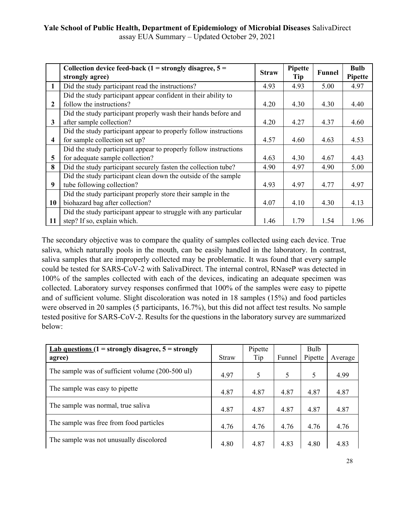# **Yale School of Public Health, Department of Epidemiology of Microbial Diseases** SalivaDirect

assay EUA Summary – Updated October 29, 2021

|                         | Collection device feed-back $(1 =$ strongly disagree, $5 =$      | <b>Straw</b> | Pipette | <b>Funnel</b> | <b>Bulb</b> |
|-------------------------|------------------------------------------------------------------|--------------|---------|---------------|-------------|
|                         | strongly agree)                                                  |              | Tip     |               | Pipette     |
| $\mathbf{1}$            | Did the study participant read the instructions?                 | 4.93         | 4.93    | 5.00          | 4.97        |
|                         | Did the study participant appear confident in their ability to   |              |         |               |             |
| $\overline{2}$          | follow the instructions?                                         | 4.20         | 4.30    | 4.30          | 4.40        |
|                         | Did the study participant properly wash their hands before and   |              |         |               |             |
| $\mathbf{3}$            | after sample collection?                                         | 4.20         | 4.27    | 4.37          | 4.60        |
|                         | Did the study participant appear to properly follow instructions |              |         |               |             |
| $\overline{\mathbf{4}}$ | for sample collection set up?                                    | 4.57         | 4.60    | 4.63          | 4.53        |
|                         | Did the study participant appear to properly follow instructions |              |         |               |             |
| 5                       | for adequate sample collection?                                  | 4.63         | 4.30    | 4.67          | 4.43        |
| 8                       | Did the study participant securely fasten the collection tube?   | 4.90         | 4.97    | 4.90          | 5.00        |
|                         | Did the study participant clean down the outside of the sample   |              |         |               |             |
| 9                       | tube following collection?                                       | 4.93         | 4.97    | 4.77          | 4.97        |
|                         | Did the study participant properly store their sample in the     |              |         |               |             |
| 10                      | biohazard bag after collection?                                  | 4.07         | 4.10    | 4.30          | 4.13        |
|                         | Did the study participant appear to struggle with any particular |              |         |               |             |
| 11                      | step? If so, explain which.                                      | 1.46         | 1.79    | 1.54          | 1.96        |

The secondary objective was to compare the quality of samples collected using each device. True saliva, which naturally pools in the mouth, can be easily handled in the laboratory. In contrast, saliva samples that are improperly collected may be problematic. It was found that every sample could be tested for SARS-CoV-2 with SalivaDirect. The internal control, RNaseP was detected in 100% of the samples collected with each of the devices, indicating an adequate specimen was collected. Laboratory survey responses confirmed that 100% of the samples were easy to pipette and of sufficient volume. Slight discoloration was noted in 18 samples (15%) and food particles were observed in 20 samples (5 participants, 16.7%), but this did not affect test results. No sample tested positive for SARS-CoV-2. Results for the questions in the laboratory survey are summarized below:

| <u>Lab questions</u> $(1 =$ strongly disagree, $5 =$ strongly |       | Pipette |        | Bulb    |         |
|---------------------------------------------------------------|-------|---------|--------|---------|---------|
| agree)                                                        | Straw | Tip     | Funnel | Pipette | Average |
| The sample was of sufficient volume (200-500 ul)              | 4.97  | 5       | 5      | 5       | 4.99    |
| The sample was easy to pipette                                | 4.87  | 4.87    | 4.87   | 4.87    | 4.87    |
| The sample was normal, true saliva                            | 4.87  | 4.87    | 4.87   | 4.87    | 4.87    |
| The sample was free from food particles                       | 4.76  | 4.76    | 4.76   | 4.76    | 4.76    |
| The sample was not unusually discolored                       | 4.80  | 4.87    | 4.83   | 4.80    | 4.83    |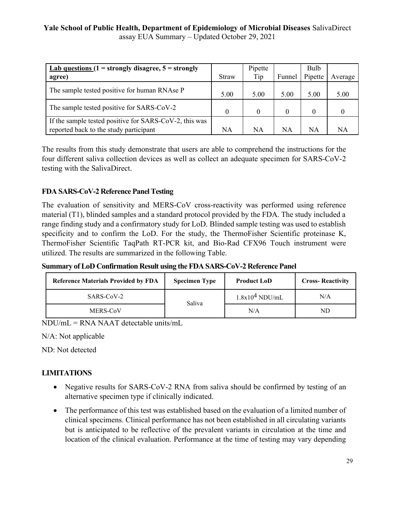| Lab questions $(1 =$ strongly disagree, $5 =$ strongly<br>agree)                                 | Straw     | Pipette<br>Tip | Funnel    | Bulb<br>Pipette | Average |
|--------------------------------------------------------------------------------------------------|-----------|----------------|-----------|-----------------|---------|
| The sample tested positive for human RNAse P                                                     | 5.00      | 5.00           | 5.00      | 5.00            | 5.00    |
| The sample tested positive for SARS-CoV-2                                                        |           |                | $\Omega$  | $\theta$        |         |
| If the sample tested positive for SARS-CoV-2, this was<br>reported back to the study participant | <b>NA</b> | NA             | <b>NA</b> | NA              | NA      |

The results from this study demonstrate that users are able to comprehend the instructions for the four different saliva collection devices as well as collect an adequate specimen for SARS-CoV-2 testing with the SalivaDirect.

## **FDA SARS-CoV-2 Reference Panel Testing**

The evaluation of sensitivity and MERS-CoV cross-reactivity was performed using reference material (T1), blinded samples and a standard protocol provided by the FDA. The study included a range finding study and a confirmatory study for LoD. Blinded sample testing was used to establish specificity and to confirm the LoD. For the study, the ThermoFisher Scientific proteinase K, ThermoFisher Scientific TaqPath RT-PCR kit, and Bio-Rad CFX96 Touch instrument were utilized. The results are summarized in the following Table.

**Summary of LoD Confirmation Result using the FDA SARS-CoV-2 Reference Panel** 

| <b>Reference Materials Provided by FDA</b> | <b>Specimen Type</b><br><b>Product LoD</b> |                  | <b>Cross-Reactivity</b> |  |
|--------------------------------------------|--------------------------------------------|------------------|-------------------------|--|
| SARS-CoV-2                                 | Saliva                                     | $1.8x104$ NDU/mL | N/A                     |  |
| MERS-CoV                                   |                                            | $\rm N/A$        | ND                      |  |

NDU/mL = RNA NAAT detectable units/mL

N/A: Not applicable

ND: Not detected

#### **LIMITATIONS**

- Negative results for SARS-CoV-2 RNA from saliva should be confirmed by testing of an alternative specimen type if clinically indicated.
- · The performance of this test was established based on the evaluation of a limited number of clinical specimens. Clinical performance has not been established in all circulating variants but is anticipated to be reflective of the prevalent variants in circulation at the time and location of the clinical evaluation. Performance at the time of testing may vary depending